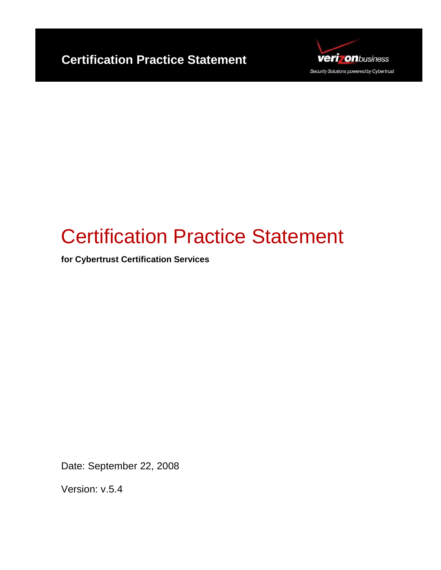



# Certification Practice Statement

**for Cybertrust Certification Services** 

Date: September 22, 2008

Version: v.5.4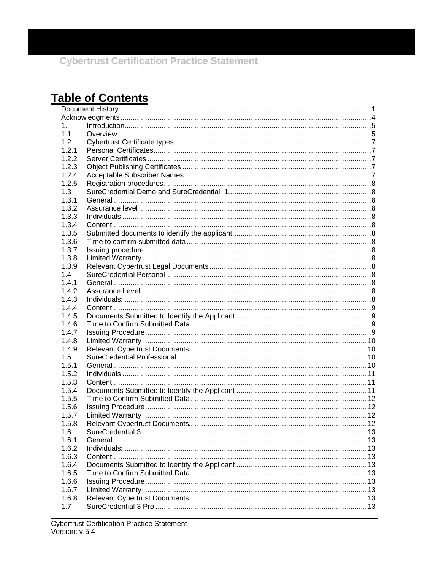## **Table of Contents**

| 1.    |  |  |
|-------|--|--|
| 1.1   |  |  |
| 1.2   |  |  |
| 1.2.1 |  |  |
| 1.2.2 |  |  |
| 1.2.3 |  |  |
| 1.2.4 |  |  |
| 1.2.5 |  |  |
| 1.3   |  |  |
| 1.3.1 |  |  |
| 1.3.2 |  |  |
| 1.3.3 |  |  |
| 1.3.4 |  |  |
| 1.3.5 |  |  |
| 1.3.6 |  |  |
| 1.3.7 |  |  |
| 1.3.8 |  |  |
| 1.3.9 |  |  |
| 1.4   |  |  |
| 1.4.1 |  |  |
| 1.4.2 |  |  |
| 1.4.3 |  |  |
| 1.4.4 |  |  |
| 1.4.5 |  |  |
| 1.4.6 |  |  |
| 1.4.7 |  |  |
| 1.4.8 |  |  |
| 1.4.9 |  |  |
| 1.5   |  |  |
| 1.5.1 |  |  |
| 1.5.2 |  |  |
| 1.5.3 |  |  |
| 1.5.4 |  |  |
| 1.5.5 |  |  |
| 1.5.6 |  |  |
| 1.5.7 |  |  |
| 1.5.8 |  |  |
| 1.6   |  |  |
| 1.6.1 |  |  |
| 1.6.2 |  |  |
| 1.6.3 |  |  |
| 1.6.4 |  |  |
| 1.6.5 |  |  |
| 1.6.6 |  |  |
| 1.6.7 |  |  |
| 1.6.8 |  |  |
| 1.7   |  |  |
|       |  |  |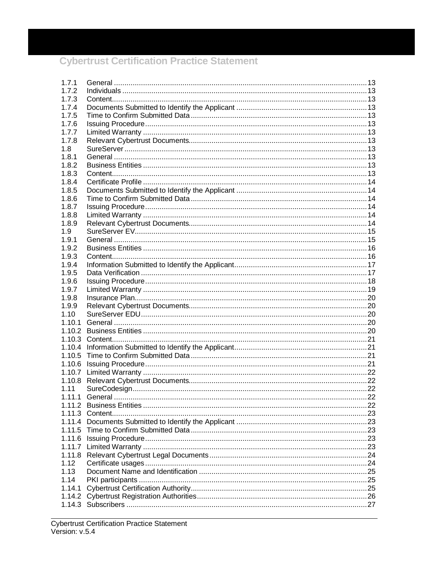| 1.7.1  |  |
|--------|--|
| 172    |  |
| 1.7.3  |  |
| 1.7.4  |  |
| 1.7.5  |  |
| 1.7.6  |  |
| 1.7.7  |  |
| 1.7.8  |  |
| 1.8    |  |
| 1.8.1  |  |
| 1.8.2  |  |
| 1.8.3  |  |
| 1.8.4  |  |
| 1.8.5  |  |
| 1.8.6  |  |
| 1.8.7  |  |
| 1.8.8  |  |
| 1.8.9  |  |
|        |  |
| 1.9    |  |
| 1.9.1  |  |
| 1.9.2  |  |
| 1.9.3  |  |
| 1.9.4  |  |
| 1.9.5  |  |
| 1.9.6  |  |
| 1.9.7  |  |
| 1.9.8  |  |
| 1.9.9  |  |
| 1.10   |  |
| 1.10.1 |  |
| 1.10.2 |  |
|        |  |
| 1.10.4 |  |
| 1.10.5 |  |
| 1.10.6 |  |
|        |  |
|        |  |
| 1.11   |  |
| 1.11.1 |  |
|        |  |
|        |  |
|        |  |
|        |  |
|        |  |
|        |  |
|        |  |
| 1.12   |  |
| 1.13   |  |
| 1.14   |  |
| 1.14.1 |  |
|        |  |
|        |  |
|        |  |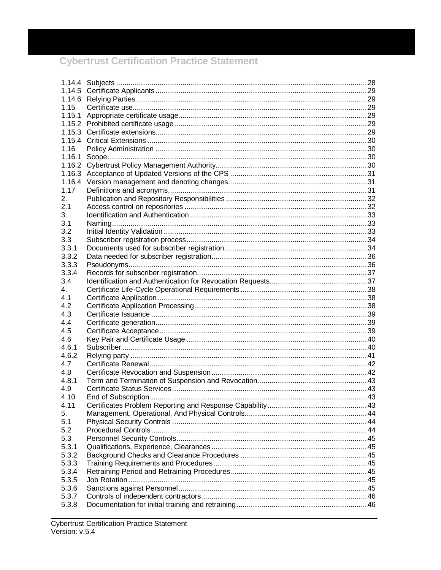| 1.15   |  |
|--------|--|
|        |  |
|        |  |
|        |  |
|        |  |
| 1.16   |  |
| 1.16.1 |  |
|        |  |
|        |  |
|        |  |
| 1.17   |  |
| 2.     |  |
| 2.1    |  |
| 3.     |  |
| 3.1    |  |
| 3.2    |  |
| 3.3    |  |
| 3.3.1  |  |
| 3.3.2  |  |
| 3.3.3  |  |
| 3.3.4  |  |
| 3.4    |  |
| 4.     |  |
| 4.1    |  |
| 4.2    |  |
| 4.3    |  |
| 4.4    |  |
| 4.5    |  |
| 4.6    |  |
| 4.6.1  |  |
| 4.6.2  |  |
| 4.7    |  |
| 4.8    |  |
| 4.8.1  |  |
| 4.9    |  |
| 4.10   |  |
| 4.11   |  |
| 5.     |  |
| 5.1    |  |
| 5.2    |  |
| 5.3    |  |
| 5.3.1  |  |
| 5.3.2  |  |
| 5.3.3  |  |
| 5.3.4  |  |
| 5.3.5  |  |
| 5.3.6  |  |
| 5.3.7  |  |
| 5.3.8  |  |
|        |  |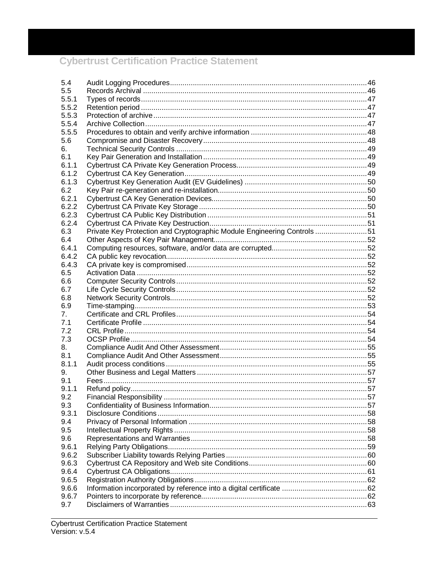| 5.4   |                                                                         |  |
|-------|-------------------------------------------------------------------------|--|
| 5.5   |                                                                         |  |
| 5.5.1 |                                                                         |  |
| 5.5.2 |                                                                         |  |
| 5.5.3 |                                                                         |  |
| 5.5.4 |                                                                         |  |
| 5.5.5 |                                                                         |  |
| 5.6   |                                                                         |  |
| 6.    |                                                                         |  |
| 6.1   |                                                                         |  |
| 6.1.1 |                                                                         |  |
| 6.1.2 |                                                                         |  |
| 6.1.3 |                                                                         |  |
| 6.2   |                                                                         |  |
| 6.2.1 |                                                                         |  |
| 6.2.2 |                                                                         |  |
| 6.2.3 |                                                                         |  |
| 6.2.4 |                                                                         |  |
| 6.3   | Private Key Protection and Cryptographic Module Engineering Controls 51 |  |
| 6.4   |                                                                         |  |
| 6.4.1 |                                                                         |  |
| 6.4.2 |                                                                         |  |
| 6.4.3 |                                                                         |  |
| 6.5   |                                                                         |  |
| 6.6   |                                                                         |  |
| 6.7   |                                                                         |  |
| 6.8   |                                                                         |  |
| 6.9   |                                                                         |  |
| 7.    |                                                                         |  |
| 7.1   |                                                                         |  |
| 7.2   |                                                                         |  |
| 7.3   |                                                                         |  |
| 8.    |                                                                         |  |
| 8.1   |                                                                         |  |
| 8.1.1 |                                                                         |  |
| 9.    |                                                                         |  |
| 9.1   |                                                                         |  |
| 9.1.1 |                                                                         |  |
| 9.2   |                                                                         |  |
| 9.3   |                                                                         |  |
| 9.3.1 |                                                                         |  |
| 9.4   |                                                                         |  |
| 9.5   |                                                                         |  |
| 9.6   |                                                                         |  |
| 9.6.1 |                                                                         |  |
| 9.6.2 |                                                                         |  |
| 9.6.3 |                                                                         |  |
| 9.6.4 |                                                                         |  |
| 9.6.5 |                                                                         |  |
| 9.6.6 |                                                                         |  |
| 9.6.7 |                                                                         |  |
| 9.7   |                                                                         |  |
|       |                                                                         |  |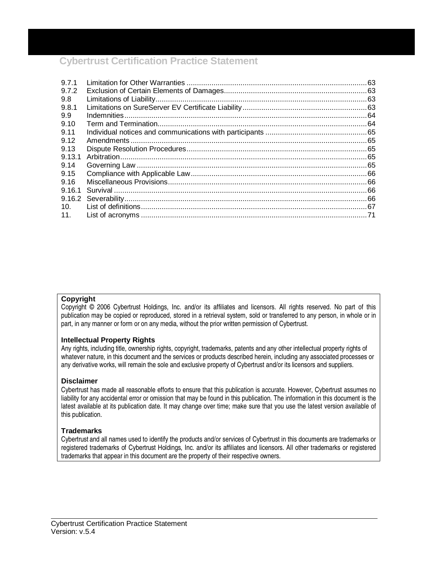| 9.7.1           |  |
|-----------------|--|
| 9.7.2           |  |
| 9.8             |  |
| 9.8.1           |  |
| 9.9             |  |
| 9.10            |  |
| 9.11            |  |
| 9.12            |  |
| 9.13            |  |
| 9.13.1          |  |
| 9.14            |  |
| 9.15            |  |
| 9.16            |  |
| 9.16.1          |  |
|                 |  |
| 10 <sub>1</sub> |  |
| 11.             |  |

#### **Copyright**

Copyright © 2006 Cybertrust Holdings, Inc. and/or its affiliates and licensors. All rights reserved. No part of this publication may be copied or reproduced, stored in a retrieval system, sold or transferred to any person, in whole or in part, in any manner or form or on any media, without the prior written permission of Cybertrust.

#### **Intellectual Property Rights**

Any rights, including title, ownership rights, copyright, trademarks, patents and any other intellectual property rights of whatever nature, in this document and the services or products described herein, including any associated processes or any derivative works, will remain the sole and exclusive property of Cybertrust and/or its licensors and suppliers.

#### **Disclaimer**

Cybertrust has made all reasonable efforts to ensure that this publication is accurate. However, Cybertrust assumes no liability for any accidental error or omission that may be found in this publication. The information in this document is the latest available at its publication date. It may change over time; make sure that you use the latest version available of this publication.

#### **Trademarks**

Cybertrust and all names used to identify the products and/or services of Cybertrust in this documents are trademarks or registered trademarks of Cybertrust Holdings, Inc. and/or its affiliates and licensors. All other trademarks or registered trademarks that appear in this document are the property of their respective owners.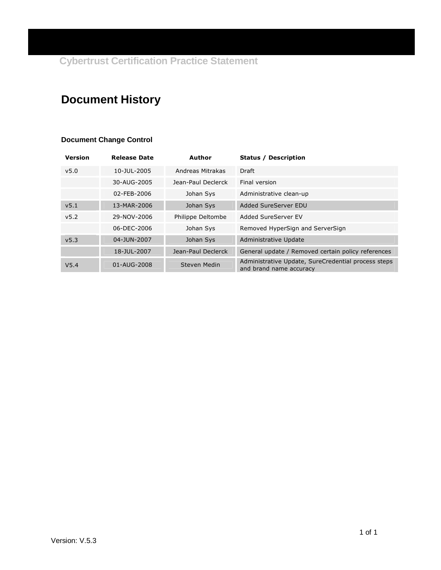## **Document History**

#### **Document Change Control**

| <b>Version</b>   | <b>Release Date</b> | Author             | <b>Status / Description</b>                                                    |
|------------------|---------------------|--------------------|--------------------------------------------------------------------------------|
| v <sub>5.0</sub> | 10-JUL-2005         | Andreas Mitrakas   | Draft                                                                          |
|                  | 30-AUG-2005         | Jean-Paul Declerck | Final version                                                                  |
|                  | 02-FEB-2006         | Johan Sys          | Administrative clean-up                                                        |
| v5.1             | 13-MAR-2006         | Johan Sys          | Added SureServer EDU                                                           |
| v5.2             | 29-NOV-2006         | Philippe Deltombe  | Added SureServer EV                                                            |
|                  | 06-DEC-2006         | Johan Sys          | Removed HyperSign and ServerSign                                               |
| v <sub>5.3</sub> | 04-JUN-2007         | Johan Sys          | Administrative Update                                                          |
|                  | 18-JUL-2007         | Jean-Paul Declerck | General update / Removed certain policy references                             |
| V <sub>5.4</sub> | 01-AUG-2008         | Steven Medin       | Administrative Update, SureCredential process steps<br>and brand name accuracy |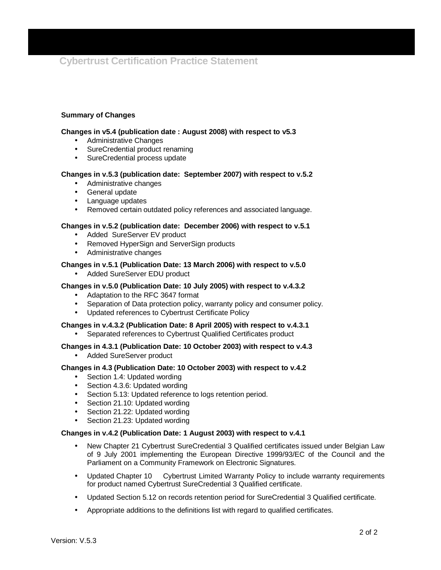#### **Summary of Changes**

#### **Changes in v5.4 (publication date : August 2008) with respect to v5.3**

- Administrative Changes
- SureCredential product renaming
- SureCredential process update

#### **Changes in v.5.3 (publication date: September 2007) with respect to v.5.2**

- Administrative changes
- General update
- Language updates
- Removed certain outdated policy references and associated language.

#### **Changes in v.5.2 (publication date: December 2006) with respect to v.5.1**

- Added SureServer EV product
- Removed HyperSign and ServerSign products
- Administrative changes

#### **Changes in v.5.1 (Publication Date: 13 March 2006) with respect to v.5.0**

• Added SureServer EDU product

#### **Changes in v.5.0 (Publication Date: 10 July 2005) with respect to v.4.3.2**

- Adaptation to the RFC 3647 format
- Separation of Data protection policy, warranty policy and consumer policy.
- Updated references to Cybertrust Certificate Policy

#### **Changes in v.4.3.2 (Publication Date: 8 April 2005) with respect to v.4.3.1**

• Separated references to Cybertrust Qualified Certificates product

#### **Changes in 4.3.1 (Publication Date: 10 October 2003) with respect to v.4.3**

• Added SureServer product

#### **Changes in 4.3 (Publication Date: 10 October 2003) with respect to v.4.2**

- Section 1.4: Updated wording
- Section 4.3.6: Updated wording
- Section 5.13: Updated reference to logs retention period.
- Section 21.10: Updated wording
- Section 21.22: Updated wording
- Section 21.23: Updated wording

#### **Changes in v.4.2 (Publication Date: 1 August 2003) with respect to v.4.1**

- New Chapter 21 Cybertrust SureCredential 3 Qualified certificates issued under Belgian Law of 9 July 2001 implementing the European Directive 1999/93/EC of the Council and the Parliament on a Community Framework on Electronic Signatures.
- Updated Chapter 10 Cybertrust Limited Warranty Policy to include warranty requirements for product named Cybertrust SureCredential 3 Qualified certificate.
- Updated Section 5.12 on records retention period for SureCredential 3 Qualified certificate.
- Appropriate additions to the definitions list with regard to qualified certificates.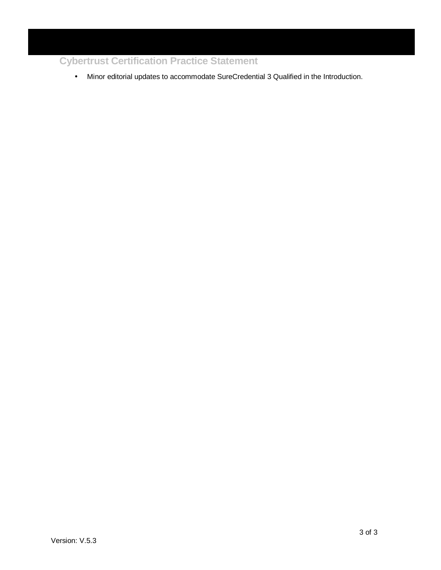• Minor editorial updates to accommodate SureCredential 3 Qualified in the Introduction.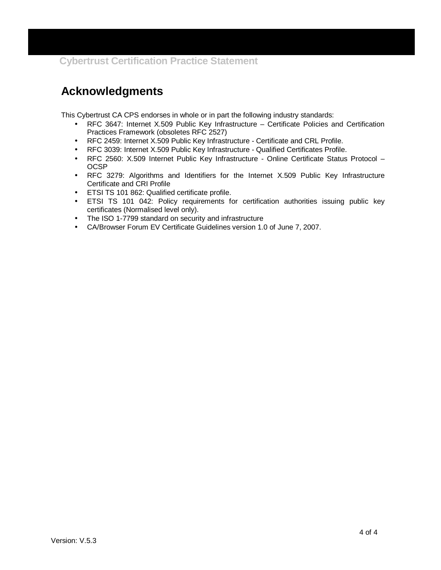## **Acknowledgments**

This Cybertrust CA CPS endorses in whole or in part the following industry standards:

- RFC 3647: Internet X.509 Public Key Infrastructure Certificate Policies and Certification Practices Framework (obsoletes RFC 2527)
- RFC 2459: Internet X.509 Public Key Infrastructure Certificate and CRL Profile.
- RFC 3039: Internet X.509 Public Key Infrastructure Qualified Certificates Profile.
- RFC 2560: X.509 Internet Public Key Infrastructure Online Certificate Status Protocol OCSP
- RFC 3279: Algorithms and Identifiers for the Internet X.509 Public Key Infrastructure Certificate and CRI Profile
- ETSI TS 101 862: Qualified certificate profile.
- ETSI TS 101 042: Policy requirements for certification authorities issuing public key certificates (Normalised level only).
- The ISO 1-7799 standard on security and infrastructure
- CA/Browser Forum EV Certificate Guidelines version 1.0 of June 7, 2007.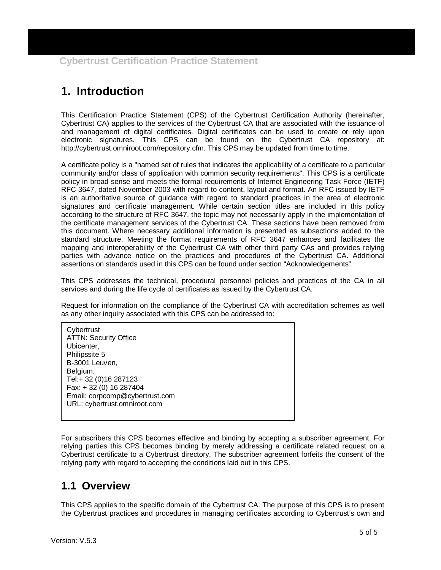## **1. Introduction**

This Certification Practice Statement (CPS) of the Cybertrust Certification Authority (hereinafter, Cybertrust CA) applies to the services of the Cybertrust CA that are associated with the issuance of and management of digital certificates. Digital certificates can be used to create or rely upon electronic signatures. This CPS can be found on the Cybertrust CA repository at: http://cybertrust.omniroot.com/repository.cfm. This CPS may be updated from time to time.

A certificate policy is a "named set of rules that indicates the applicability of a certificate to a particular community and/or class of application with common security requirements". This CPS is a certificate policy in broad sense and meets the formal requirements of Internet Engineering Task Force (IETF) RFC 3647, dated November 2003 with regard to content, layout and format. An RFC issued by IETF is an authoritative source of guidance with regard to standard practices in the area of electronic signatures and certificate management. While certain section titles are included in this policy according to the structure of RFC 3647, the topic may not necessarily apply in the implementation of the certificate management services of the Cybertrust CA. These sections have been removed from this document. Where necessary additional information is presented as subsections added to the standard structure. Meeting the format requirements of RFC 3647 enhances and facilitates the mapping and interoperability of the Cybertrust CA with other third party CAs and provides relying parties with advance notice on the practices and procedures of the Cybertrust CA. Additional assertions on standards used in this CPS can be found under section "Acknowledgements".

This CPS addresses the technical, procedural personnel policies and practices of the CA in all services and during the life cycle of certificates as issued by the Cybertrust CA.

Request for information on the compliance of the Cybertrust CA with accreditation schemes as well as any other inquiry associated with this CPS can be addressed to:

**Cybertrust** ATTN: Security Office Ubicenter, Philipssite 5 B-3001 Leuven, Belgium. Tel:+ 32 (0)16 287123 Fax: + 32 (0) 16 287404 Email: corpcomp@cybertrust.com URL: cybertrust.omniroot.com

For subscribers this CPS becomes effective and binding by accepting a subscriber agreement. For relying parties this CPS becomes binding by merely addressing a certificate related request on a Cybertrust certificate to a Cybertrust directory. The subscriber agreement forfeits the consent of the relying party with regard to accepting the conditions laid out in this CPS.

## **1.1 Overview**

This CPS applies to the specific domain of the Cybertrust CA. The purpose of this CPS is to present the Cybertrust practices and procedures in managing certificates according to Cybertrust's own and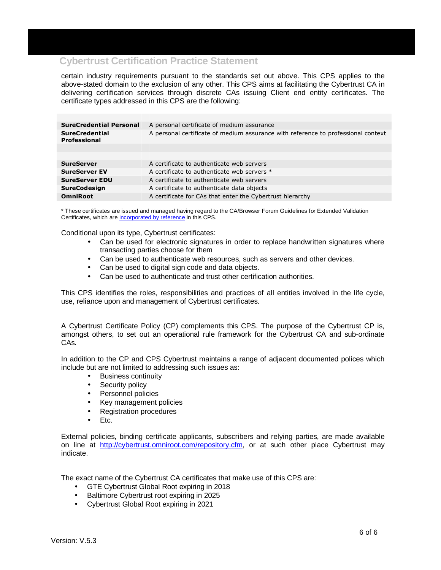certain industry requirements pursuant to the standards set out above. This CPS applies to the above-stated domain to the exclusion of any other. This CPS aims at facilitating the Cybertrust CA in delivering certification services through discrete CAs issuing Client end entity certificates. The certificate types addressed in this CPS are the following:

| <b>SureCredential Personal</b>               | A personal certificate of medium assurance                                        |
|----------------------------------------------|-----------------------------------------------------------------------------------|
| <b>SureCredential</b><br><b>Professional</b> | A personal certificate of medium assurance with reference to professional context |
|                                              |                                                                                   |
|                                              |                                                                                   |
| <b>SureServer</b>                            | A certificate to authenticate web servers                                         |
| <b>SureServer EV</b>                         | A certificate to authenticate web servers *                                       |
| <b>SureServer EDU</b>                        | A certificate to authenticate web servers                                         |
| <b>SureCodesign</b>                          | A certificate to authenticate data objects                                        |
| <b>OmniRoot</b>                              | A certificate for CAs that enter the Cybertrust hierarchy                         |
|                                              |                                                                                   |

\* These certificates are issued and managed having regard to the CA/Browser Forum Guidelines for Extended Validation Certificates, which are incorporated by reference in this CPS.

Conditional upon its type, Cybertrust certificates:

- Can be used for electronic signatures in order to replace handwritten signatures where transacting parties choose for them
- Can be used to authenticate web resources, such as servers and other devices.
- Can be used to digital sign code and data objects.
- Can be used to authenticate and trust other certification authorities.

This CPS identifies the roles, responsibilities and practices of all entities involved in the life cycle, use, reliance upon and management of Cybertrust certificates.

A Cybertrust Certificate Policy (CP) complements this CPS. The purpose of the Cybertrust CP is, amongst others, to set out an operational rule framework for the Cybertrust CA and sub-ordinate CAs.

In addition to the CP and CPS Cybertrust maintains a range of adjacent documented polices which include but are not limited to addressing such issues as:

- Business continuity
- Security policy
- Personnel policies
- Key management policies
- Registration procedures
- Etc.

External policies, binding certificate applicants, subscribers and relying parties, are made available on line at http://cybertrust.omniroot.com/repository.cfm, or at such other place Cybertrust may indicate.

The exact name of the Cybertrust CA certificates that make use of this CPS are:

- GTE Cybertrust Global Root expiring in 2018
- Baltimore Cybertrust root expiring in 2025
- Cybertrust Global Root expiring in 2021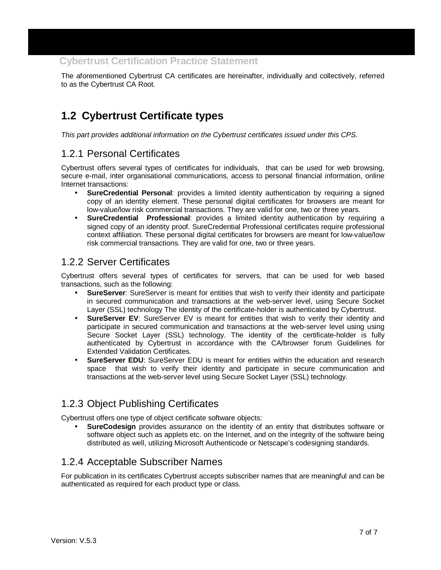The aforementioned Cybertrust CA certificates are hereinafter, individually and collectively, referred to as the Cybertrust CA Root.

## **1.2 Cybertrust Certificate types**

This part provides additional information on the Cybertrust certificates issued under this CPS.

#### 1.2.1 Personal Certificates

Cybertrust offers several types of certificates for individuals, that can be used for web browsing, secure e-mail, inter organisational communications, access to personal financial information, online Internet transactions:

- **SureCredential Personal**: provides a limited identity authentication by requiring a signed copy of an identity element. These personal digital certificates for browsers are meant for low-value/low risk commercial transactions. They are valid for one, two or three years.
- **SureCredential Professional**: provides a limited identity authentication by requiring a signed copy of an identity proof. SureCredential Professional certificates require professional context affiliation. These personal digital certificates for browsers are meant for low-value/low risk commercial transactions. They are valid for one, two or three years.

#### 1.2.2 Server Certificates

Cybertrust offers several types of certificates for servers, that can be used for web based transactions, such as the following:

- **SureServer**: SureServer is meant for entities that wish to verify their identity and participate in secured communication and transactions at the web-server level, using Secure Socket Layer (SSL) technology The identity of the certificate-holder is authenticated by Cybertrust.
- **SureServer EV**: SureServer EV is meant for entities that wish to verify their identity and participate in secured communication and transactions at the web-server level using using Secure Socket Layer (SSL) technology. The identity of the certificate-holder is fully authenticated by Cybertrust in accordance with the CA/browser forum Guidelines for Extended Validation Certificates.
- **SureServer EDU**: SureServer EDU is meant for entities within the education and research space that wish to verify their identity and participate in secure communication and transactions at the web-server level using Secure Socket Layer (SSL) technology.

### 1.2.3 Object Publishing Certificates

Cybertrust offers one type of object certificate software objects:

• **SureCodesign** provides assurance on the identity of an entity that distributes software or software object such as applets etc. on the Internet, and on the integrity of the software being distributed as well, utilizing Microsoft Authenticode or Netscape's codesigning standards.

### 1.2.4 Acceptable Subscriber Names

For publication in its certificates Cybertrust accepts subscriber names that are meaningful and can be authenticated as required for each product type or class.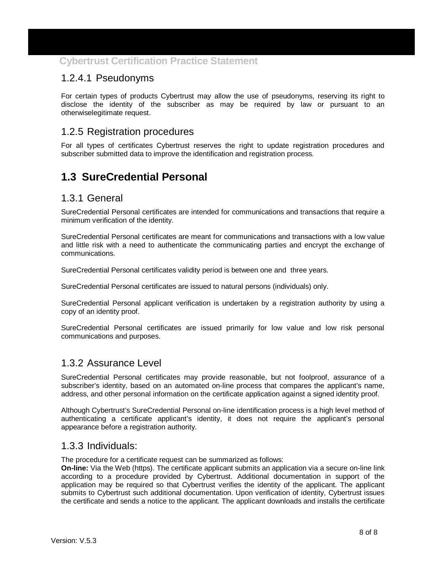#### 1.2.4.1 Pseudonyms

For certain types of products Cybertrust may allow the use of pseudonyms, reserving its right to disclose the identity of the subscriber as may be required by law or pursuant to an otherwiselegitimate request.

#### 1.2.5 Registration procedures

For all types of certificates Cybertrust reserves the right to update registration procedures and subscriber submitted data to improve the identification and registration process.

## **1.3 SureCredential Personal**

#### 1.3.1 General

SureCredential Personal certificates are intended for communications and transactions that require a minimum verification of the identity.

SureCredential Personal certificates are meant for communications and transactions with a low value and little risk with a need to authenticate the communicating parties and encrypt the exchange of communications.

SureCredential Personal certificates validity period is between one and three years.

SureCredential Personal certificates are issued to natural persons (individuals) only.

SureCredential Personal applicant verification is undertaken by a registration authority by using a copy of an identity proof.

SureCredential Personal certificates are issued primarily for low value and low risk personal communications and purposes.

#### 1.3.2 Assurance Level

SureCredential Personal certificates may provide reasonable, but not foolproof, assurance of a subscriber's identity, based on an automated on-line process that compares the applicant's name, address, and other personal information on the certificate application against a signed identity proof.

Although Cybertrust's SureCredential Personal on-line identification process is a high level method of authenticating a certificate applicant's identity, it does not require the applicant's personal appearance before a registration authority.

#### 1.3.3 Individuals:

The procedure for a certificate request can be summarized as follows:

**On-line:** Via the Web (https). The certificate applicant submits an application via a secure on-line link according to a procedure provided by Cybertrust. Additional documentation in support of the application may be required so that Cybertrust verifies the identity of the applicant. The applicant submits to Cybertrust such additional documentation. Upon verification of identity, Cybertrust issues the certificate and sends a notice to the applicant. The applicant downloads and installs the certificate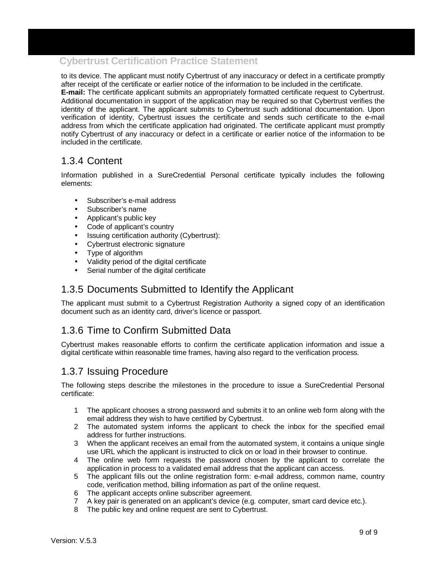to its device. The applicant must notify Cybertrust of any inaccuracy or defect in a certificate promptly after receipt of the certificate or earlier notice of the information to be included in the certificate. **E-mail:** The certificate applicant submits an appropriately formatted certificate request to Cybertrust. Additional documentation in support of the application may be required so that Cybertrust verifies the identity of the applicant. The applicant submits to Cybertrust such additional documentation. Upon verification of identity, Cybertrust issues the certificate and sends such certificate to the e-mail address from which the certificate application had originated. The certificate applicant must promptly notify Cybertrust of any inaccuracy or defect in a certificate or earlier notice of the information to be included in the certificate.

#### 1.3.4 Content

Information published in a SureCredential Personal certificate typically includes the following elements:

- Subscriber's e-mail address
- Subscriber's name
- Applicant's public key
- Code of applicant's country
- Issuing certification authority (Cybertrust):
- Cybertrust electronic signature
- Type of algorithm
- Validity period of the digital certificate
- Serial number of the digital certificate

#### 1.3.5 Documents Submitted to Identify the Applicant

The applicant must submit to a Cybertrust Registration Authority a signed copy of an identification document such as an identity card, driver's licence or passport.

#### 1.3.6 Time to Confirm Submitted Data

Cybertrust makes reasonable efforts to confirm the certificate application information and issue a digital certificate within reasonable time frames, having also regard to the verification process.

### 1.3.7 Issuing Procedure

The following steps describe the milestones in the procedure to issue a SureCredential Personal certificate:

- 1 The applicant chooses a strong password and submits it to an online web form along with the email address they wish to have certified by Cybertrust.
- 2 The automated system informs the applicant to check the inbox for the specified email address for further instructions.
- 3 When the applicant receives an email from the automated system, it contains a unique single use URL which the applicant is instructed to click on or load in their browser to continue.
- 4 The online web form requests the password chosen by the applicant to correlate the application in process to a validated email address that the applicant can access.
- 5 The applicant fills out the online registration form: e-mail address, common name, country code, verification method, billing information as part of the online request.
- 6 The applicant accepts online subscriber agreement.
- 7 A key pair is generated on an applicant's device (e.g. computer, smart card device etc.).
- 8 The public key and online request are sent to Cybertrust.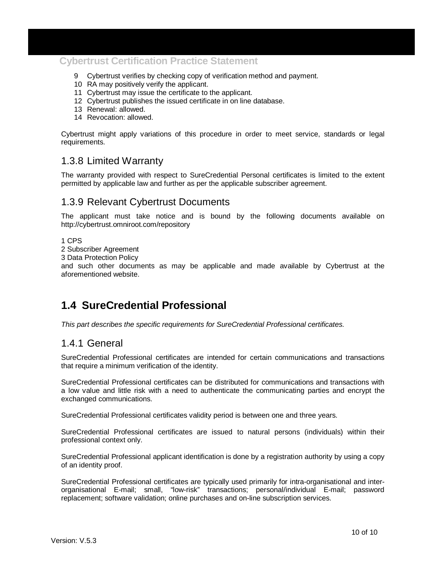- 9 Cybertrust verifies by checking copy of verification method and payment.
- 10 RA may positively verify the applicant.
- 11 Cybertrust may issue the certificate to the applicant.
- 12 Cybertrust publishes the issued certificate in on line database.
- 13 Renewal: allowed.
- 14 Revocation: allowed.

Cybertrust might apply variations of this procedure in order to meet service, standards or legal requirements.

#### 1.3.8 Limited Warranty

The warranty provided with respect to SureCredential Personal certificates is limited to the extent permitted by applicable law and further as per the applicable subscriber agreement.

#### 1.3.9 Relevant Cybertrust Documents

The applicant must take notice and is bound by the following documents available on http://cybertrust.omniroot.com/repository

#### 1 CPS

2 Subscriber Agreement

3 Data Protection Policy

and such other documents as may be applicable and made available by Cybertrust at the aforementioned website.

## **1.4 SureCredential Professional**

This part describes the specific requirements for SureCredential Professional certificates.

#### 1.4.1 General

SureCredential Professional certificates are intended for certain communications and transactions that require a minimum verification of the identity.

SureCredential Professional certificates can be distributed for communications and transactions with a low value and little risk with a need to authenticate the communicating parties and encrypt the exchanged communications.

SureCredential Professional certificates validity period is between one and three years.

SureCredential Professional certificates are issued to natural persons (individuals) within their professional context only.

SureCredential Professional applicant identification is done by a registration authority by using a copy of an identity proof.

SureCredential Professional certificates are typically used primarily for intra-organisational and interorganisational E-mail; small, "low-risk" transactions; personal/individual E-mail; password replacement; software validation; online purchases and on-line subscription services.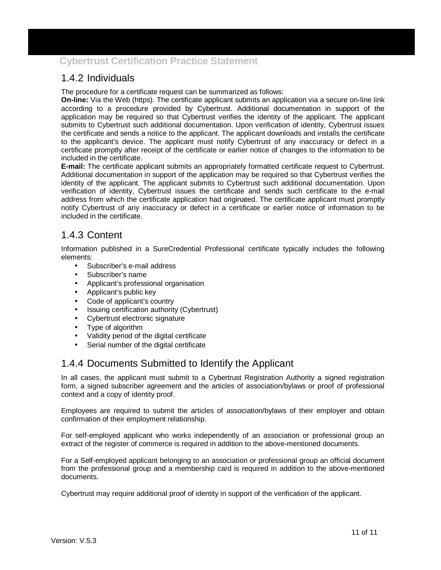## 1.4.2 Individuals

The procedure for a certificate request can be summarized as follows:

**On-line:** Via the Web (https). The certificate applicant submits an application via a secure on-line link according to a procedure provided by Cybertrust. Additional documentation in support of the application may be required so that Cybertrust verifies the identity of the applicant. The applicant submits to Cybertrust such additional documentation. Upon verification of identity, Cybertrust issues the certificate and sends a notice to the applicant. The applicant downloads and installs the certificate to the applicant's device. The applicant must notify Cybertrust of any inaccuracy or defect in a certificate promptly after receipt of the certificate or earlier notice of changes to the information to be included in the certificate.

**E-mail:** The certificate applicant submits an appropriately formatted certificate request to Cybertrust. Additional documentation in support of the application may be required so that Cybertrust verifies the identity of the applicant. The applicant submits to Cybertrust such additional documentation. Upon verification of identity, Cybertrust issues the certificate and sends such certificate to the e-mail address from which the certificate application had originated. The certificate applicant must promptly notify Cybertrust of any inaccuracy or defect in a certificate or earlier notice of information to be included in the certificate.

#### 1.4.3 Content

Information published in a SureCredential Professional certificate typically includes the following elements:

- Subscriber's e-mail address
- Subscriber's name
- Applicant's professional organisation
- Applicant's public key
- Code of applicant's country
- Issuing certification authority (Cybertrust)
- Cybertrust electronic signature
- Type of algorithm
- Validity period of the digital certificate
- Serial number of the digital certificate

#### 1.4.4 Documents Submitted to Identify the Applicant

In all cases, the applicant must submit to a Cybertrust Registration Authority a signed registration form, a signed subscriber agreement and the articles of association/bylaws or proof of professional context and a copy of identity proof.

Employees are required to submit the articles of association/bylaws of their employer and obtain confirmation of their employment relationship.

For self-employed applicant who works independently of an association or professional group an extract of the register of commerce is required in addition to the above-mentioned documents.

For a Self-employed applicant belonging to an association or professional group an official document from the professional group and a membership card is required in addition to the above-mentioned documents.

Cybertrust may require additional proof of identity in support of the verification of the applicant.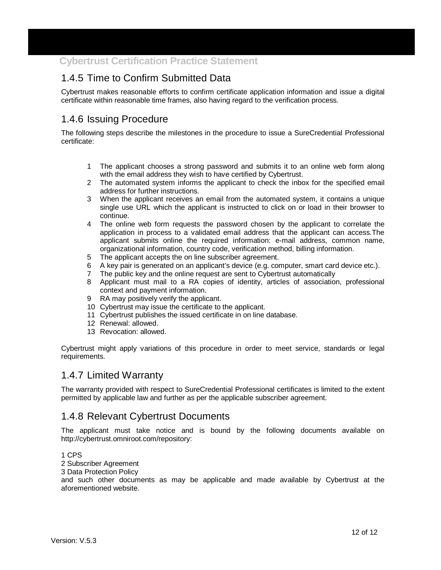## 1.4.5 Time to Confirm Submitted Data

Cybertrust makes reasonable efforts to confirm certificate application information and issue a digital certificate within reasonable time frames, also having regard to the verification process.

## 1.4.6 Issuing Procedure

The following steps describe the milestones in the procedure to issue a SureCredential Professional certificate:

- 1 The applicant chooses a strong password and submits it to an online web form along with the email address they wish to have certified by Cybertrust.
- 2 The automated system informs the applicant to check the inbox for the specified email address for further instructions.
- 3 When the applicant receives an email from the automated system, it contains a unique single use URL which the applicant is instructed to click on or load in their browser to continue.
- 4 The online web form requests the password chosen by the applicant to correlate the application in process to a validated email address that the applicant can access.The applicant submits online the required information: e-mail address, common name, organizational information, country code, verification method, billing information.
- 5 The applicant accepts the on line subscriber agreement.
- 6 A key pair is generated on an applicant's device (e.g. computer, smart card device etc.).
- 7 The public key and the online request are sent to Cybertrust automatically
- 8 Applicant must mail to a RA copies of identity, articles of association, professional context and payment information.
- 9 RA may positively verify the applicant.
- 10 Cybertrust may issue the certificate to the applicant.
- 11 Cybertrust publishes the issued certificate in on line database.
- 12 Renewal: allowed.
- 13 Revocation: allowed.

Cybertrust might apply variations of this procedure in order to meet service, standards or legal requirements.

#### 1.4.7 Limited Warranty

The warranty provided with respect to SureCredential Professional certificates is limited to the extent permitted by applicable law and further as per the applicable subscriber agreement.

#### 1.4.8 Relevant Cybertrust Documents

The applicant must take notice and is bound by the following documents available on http://cybertrust.omniroot.com/repository:

1 CPS

- 2 Subscriber Agreement
- 3 Data Protection Policy

and such other documents as may be applicable and made available by Cybertrust at the aforementioned website.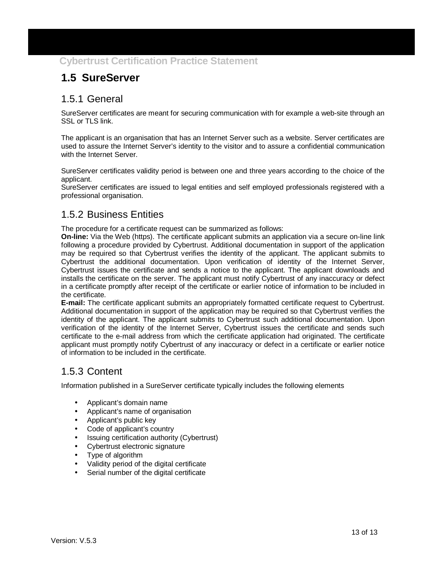## **1.5 SureServer**

#### 1.5.1 General

SureServer certificates are meant for securing communication with for example a web-site through an SSL or TLS link.

The applicant is an organisation that has an Internet Server such as a website. Server certificates are used to assure the Internet Server's identity to the visitor and to assure a confidential communication with the Internet Server.

SureServer certificates validity period is between one and three years according to the choice of the applicant.

SureServer certificates are issued to legal entities and self employed professionals registered with a professional organisation.

#### 1.5.2 Business Entities

The procedure for a certificate request can be summarized as follows:

**On-line:** Via the Web (https). The certificate applicant submits an application via a secure on-line link following a procedure provided by Cybertrust. Additional documentation in support of the application may be required so that Cybertrust verifies the identity of the applicant. The applicant submits to Cybertrust the additional documentation. Upon verification of identity of the Internet Server, Cybertrust issues the certificate and sends a notice to the applicant. The applicant downloads and installs the certificate on the server. The applicant must notify Cybertrust of any inaccuracy or defect in a certificate promptly after receipt of the certificate or earlier notice of information to be included in the certificate.

**E-mail:** The certificate applicant submits an appropriately formatted certificate request to Cybertrust. Additional documentation in support of the application may be required so that Cybertrust verifies the identity of the applicant. The applicant submits to Cybertrust such additional documentation. Upon verification of the identity of the Internet Server, Cybertrust issues the certificate and sends such certificate to the e-mail address from which the certificate application had originated. The certificate applicant must promptly notify Cybertrust of any inaccuracy or defect in a certificate or earlier notice of information to be included in the certificate.

### 1.5.3 Content

Information published in a SureServer certificate typically includes the following elements

- Applicant's domain name
- Applicant's name of organisation
- Applicant's public key
- Code of applicant's country
- Issuing certification authority (Cybertrust)
- Cybertrust electronic signature
- Type of algorithm
- Validity period of the digital certificate
- Serial number of the digital certificate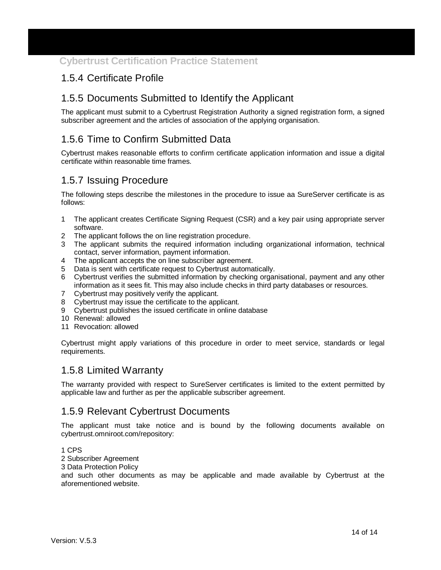#### 1.5.4 Certificate Profile

#### 1.5.5 Documents Submitted to Identify the Applicant

The applicant must submit to a Cybertrust Registration Authority a signed registration form, a signed subscriber agreement and the articles of association of the applying organisation.

#### 1.5.6 Time to Confirm Submitted Data

Cybertrust makes reasonable efforts to confirm certificate application information and issue a digital certificate within reasonable time frames.

#### 1.5.7 Issuing Procedure

The following steps describe the milestones in the procedure to issue aa SureServer certificate is as follows:

- 1 The applicant creates Certificate Signing Request (CSR) and a key pair using appropriate server software.
- 2 The applicant follows the on line registration procedure.
- 3 The applicant submits the required information including organizational information, technical contact, server information, payment information.
- 4 The applicant accepts the on line subscriber agreement.
- 5 Data is sent with certificate request to Cybertrust automatically.
- 6 Cybertrust verifies the submitted information by checking organisational, payment and any other information as it sees fit. This may also include checks in third party databases or resources.
- 7 Cybertrust may positively verify the applicant.
- 8 Cybertrust may issue the certificate to the applicant.
- 9 Cybertrust publishes the issued certificate in online database
- 10 Renewal: allowed
- 11 Revocation: allowed

Cybertrust might apply variations of this procedure in order to meet service, standards or legal requirements.

#### 1.5.8 Limited Warranty

The warranty provided with respect to SureServer certificates is limited to the extent permitted by applicable law and further as per the applicable subscriber agreement.

#### 1.5.9 Relevant Cybertrust Documents

The applicant must take notice and is bound by the following documents available on cybertrust.omniroot.com/repository:

1 CPS

2 Subscriber Agreement

3 Data Protection Policy

and such other documents as may be applicable and made available by Cybertrust at the aforementioned website.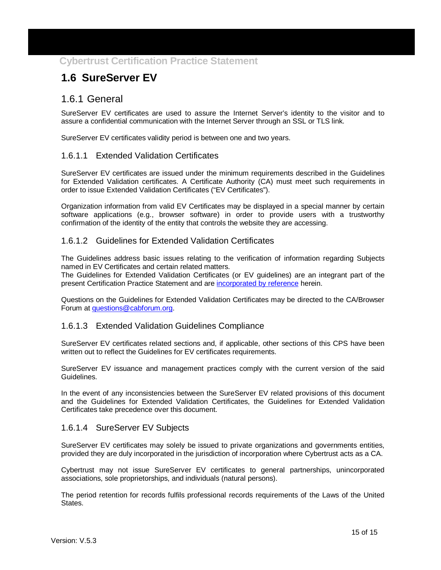## **1.6 SureServer EV**

#### 1.6.1 General

SureServer EV certificates are used to assure the Internet Server's identity to the visitor and to assure a confidential communication with the Internet Server through an SSL or TLS link.

SureServer EV certificates validity period is between one and two years.

#### 1.6.1.1 Extended Validation Certificates

SureServer EV certificates are issued under the minimum requirements described in the Guidelines for Extended Validation certificates. A Certificate Authority (CA) must meet such requirements in order to issue Extended Validation Certificates ("EV Certificates").

Organization information from valid EV Certificates may be displayed in a special manner by certain software applications (e.g., browser software) in order to provide users with a trustworthy confirmation of the identity of the entity that controls the website they are accessing.

#### 1.6.1.2 Guidelines for Extended Validation Certificates

The Guidelines address basic issues relating to the verification of information regarding Subjects named in EV Certificates and certain related matters.

The Guidelines for Extended Validation Certificates (or EV guidelines) are an integrant part of the present Certification Practice Statement and are incorporated by reference herein.

Questions on the Guidelines for Extended Validation Certificates may be directed to the CA/Browser Forum at questions@cabforum.org.

#### 1.6.1.3 Extended Validation Guidelines Compliance

SureServer EV certificates related sections and, if applicable, other sections of this CPS have been written out to reflect the Guidelines for EV certificates requirements.

SureServer EV issuance and management practices comply with the current version of the said Guidelines.

In the event of any inconsistencies between the SureServer EV related provisions of this document and the Guidelines for Extended Validation Certificates, the Guidelines for Extended Validation Certificates take precedence over this document.

#### 1.6.1.4 SureServer EV Subjects

SureServer EV certificates may solely be issued to private organizations and governments entities, provided they are duly incorporated in the jurisdiction of incorporation where Cybertrust acts as a CA.

Cybertrust may not issue SureServer EV certificates to general partnerships, unincorporated associations, sole proprietorships, and individuals (natural persons).

The period retention for records fulfils professional records requirements of the Laws of the United States.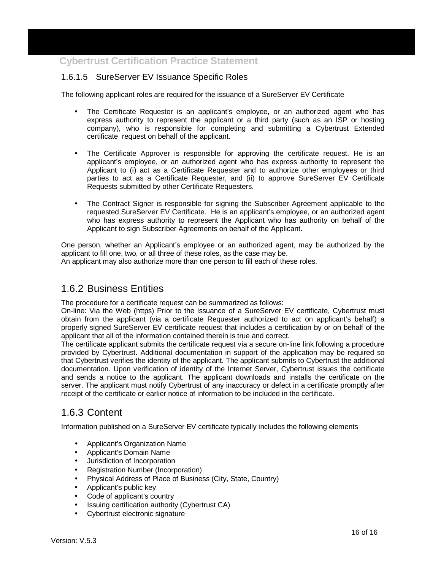#### 1.6.1.5 SureServer EV Issuance Specific Roles

The following applicant roles are required for the issuance of a SureServer EV Certificate

- The Certificate Requester is an applicant's employee, or an authorized agent who has express authority to represent the applicant or a third party (such as an ISP or hosting company), who is responsible for completing and submitting a Cybertrust Extended certificate request on behalf of the applicant.
- The Certificate Approver is responsible for approving the certificate request. He is an applicant's employee, or an authorized agent who has express authority to represent the Applicant to (i) act as a Certificate Requester and to authorize other employees or third parties to act as a Certificate Requester, and (ii) to approve SureServer EV Certificate Requests submitted by other Certificate Requesters.
- The Contract Signer is responsible for signing the Subscriber Agreement applicable to the requested SureServer EV Certificate. He is an applicant's employee, or an authorized agent who has express authority to represent the Applicant who has authority on behalf of the Applicant to sign Subscriber Agreements on behalf of the Applicant.

One person, whether an Applicant's employee or an authorized agent, may be authorized by the applicant to fill one, two, or all three of these roles, as the case may be. An applicant may also authorize more than one person to fill each of these roles.

#### 1.6.2 Business Entities

The procedure for a certificate request can be summarized as follows:

On-line: Via the Web (https) Prior to the issuance of a SureServer EV certificate, Cybertrust must obtain from the applicant (via a certificate Requester authorized to act on applicant's behalf) a properly signed SureServer EV certificate request that includes a certification by or on behalf of the applicant that all of the information contained therein is true and correct.

The certificate applicant submits the certificate request via a secure on-line link following a procedure provided by Cybertrust. Additional documentation in support of the application may be required so that Cybertrust verifies the identity of the applicant. The applicant submits to Cybertrust the additional documentation. Upon verification of identity of the Internet Server, Cybertrust issues the certificate and sends a notice to the applicant. The applicant downloads and installs the certificate on the server. The applicant must notify Cybertrust of any inaccuracy or defect in a certificate promptly after receipt of the certificate or earlier notice of information to be included in the certificate.

#### 1.6.3 Content

Information published on a SureServer EV certificate typically includes the following elements

- Applicant's Organization Name
- Applicant's Domain Name
- Jurisdiction of Incorporation
- Registration Number (Incorporation)
- Physical Address of Place of Business (City, State, Country)
- Applicant's public key
- Code of applicant's country
- Issuing certification authority (Cybertrust CA)
- Cybertrust electronic signature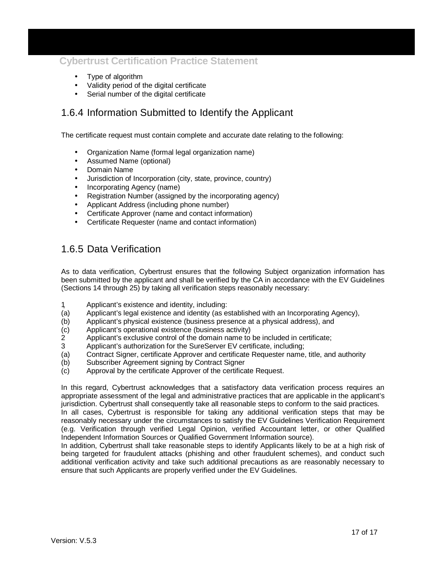- Type of algorithm
- Validity period of the digital certificate
- Serial number of the digital certificate

#### 1.6.4 Information Submitted to Identify the Applicant

The certificate request must contain complete and accurate date relating to the following:

- Organization Name (formal legal organization name)
- Assumed Name (optional)
- Domain Name
- Jurisdiction of Incorporation (city, state, province, country)
- Incorporating Agency (name)
- Registration Number (assigned by the incorporating agency)
- Applicant Address (including phone number)
- Certificate Approver (name and contact information)
- Certificate Requester (name and contact information)

#### 1.6.5 Data Verification

As to data verification, Cybertrust ensures that the following Subject organization information has been submitted by the applicant and shall be verified by the CA in accordance with the EV Guidelines (Sections 14 through 25) by taking all verification steps reasonably necessary:

- 1 Applicant's existence and identity, including:
- (a) Applicant's legal existence and identity (as established with an Incorporating Agency),
- (b) Applicant's physical existence (business presence at a physical address), and
- (c) Applicant's operational existence (business activity)
- 2 Applicant's exclusive control of the domain name to be included in certificate;
- 3 Applicant's authorization for the SureServer EV certificate, including;
- (a) Contract Signer, certificate Approver and certificate Requester name, title, and authority
- (b) Subscriber Agreement signing by Contract Signer
- (c) Approval by the certificate Approver of the certificate Request.

In this regard, Cybertrust acknowledges that a satisfactory data verification process requires an appropriate assessment of the legal and administrative practices that are applicable in the applicant's jurisdiction. Cybertrust shall consequently take all reasonable steps to conform to the said practices.

In all cases, Cybertrust is responsible for taking any additional verification steps that may be reasonably necessary under the circumstances to satisfy the EV Guidelines Verification Requirement (e.g. Verification through verified Legal Opinion, verified Accountant letter, or other Qualified Independent Information Sources or Qualified Government Information source).

In addition, Cybertrust shall take reasonable steps to identify Applicants likely to be at a high risk of being targeted for fraudulent attacks (phishing and other fraudulent schemes), and conduct such additional verification activity and take such additional precautions as are reasonably necessary to ensure that such Applicants are properly verified under the EV Guidelines.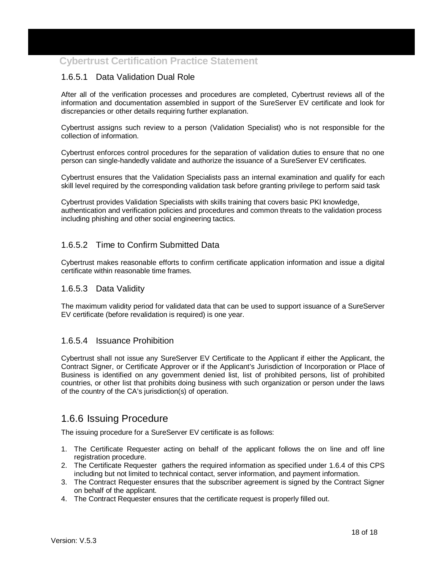#### 1.6.5.1 Data Validation Dual Role

After all of the verification processes and procedures are completed, Cybertrust reviews all of the information and documentation assembled in support of the SureServer EV certificate and look for discrepancies or other details requiring further explanation.

Cybertrust assigns such review to a person (Validation Specialist) who is not responsible for the collection of information.

Cybertrust enforces control procedures for the separation of validation duties to ensure that no one person can single-handedly validate and authorize the issuance of a SureServer EV certificates.

Cybertrust ensures that the Validation Specialists pass an internal examination and qualify for each skill level required by the corresponding validation task before granting privilege to perform said task

Cybertrust provides Validation Specialists with skills training that covers basic PKI knowledge, authentication and verification policies and procedures and common threats to the validation process including phishing and other social engineering tactics.

#### 1.6.5.2 Time to Confirm Submitted Data

Cybertrust makes reasonable efforts to confirm certificate application information and issue a digital certificate within reasonable time frames.

#### 1.6.5.3 Data Validity

The maximum validity period for validated data that can be used to support issuance of a SureServer EV certificate (before revalidation is required) is one year.

#### 1.6.5.4 Issuance Prohibition

Cybertrust shall not issue any SureServer EV Certificate to the Applicant if either the Applicant, the Contract Signer, or Certificate Approver or if the Applicant's Jurisdiction of Incorporation or Place of Business is identified on any government denied list, list of prohibited persons, list of prohibited countries, or other list that prohibits doing business with such organization or person under the laws of the country of the CA's jurisdiction(s) of operation.

#### 1.6.6 Issuing Procedure

The issuing procedure for a SureServer EV certificate is as follows:

- 1. The Certificate Requester acting on behalf of the applicant follows the on line and off line registration procedure.
- 2. The Certificate Requester gathers the required information as specified under 1.6.4 of this CPS including but not limited to technical contact, server information, and payment information.
- 3. The Contract Requester ensures that the subscriber agreement is signed by the Contract Signer on behalf of the applicant.
- 4. The Contract Requester ensures that the certificate request is properly filled out.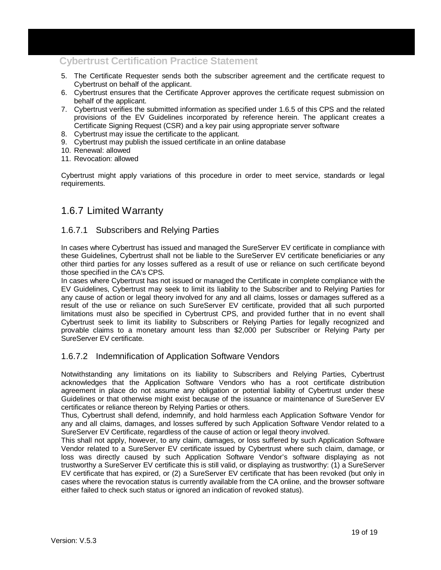- 5. The Certificate Requester sends both the subscriber agreement and the certificate request to Cybertrust on behalf of the applicant.
- 6. Cybertrust ensures that the Certificate Approver approves the certificate request submission on behalf of the applicant.
- 7. Cybertrust verifies the submitted information as specified under 1.6.5 of this CPS and the related provisions of the EV Guidelines incorporated by reference herein. The applicant creates a Certificate Signing Request (CSR) and a key pair using appropriate server software
- 8. Cybertrust may issue the certificate to the applicant.
- 9. Cybertrust may publish the issued certificate in an online database
- 10. Renewal: allowed
- 11. Revocation: allowed

Cybertrust might apply variations of this procedure in order to meet service, standards or legal requirements.

#### 1.6.7 Limited Warranty

#### 1.6.7.1 Subscribers and Relying Parties

In cases where Cybertrust has issued and managed the SureServer EV certificate in compliance with these Guidelines, Cybertrust shall not be liable to the SureServer EV certificate beneficiaries or any other third parties for any losses suffered as a result of use or reliance on such certificate beyond those specified in the CA's CPS.

In cases where Cybertrust has not issued or managed the Certificate in complete compliance with the EV Guidelines, Cybertrust may seek to limit its liability to the Subscriber and to Relying Parties for any cause of action or legal theory involved for any and all claims, losses or damages suffered as a result of the use or reliance on such SureServer EV certificate, provided that all such purported limitations must also be specified in Cybertrust CPS, and provided further that in no event shall Cybertrust seek to limit its liability to Subscribers or Relying Parties for legally recognized and provable claims to a monetary amount less than \$2,000 per Subscriber or Relying Party per SureServer EV certificate.

#### 1.6.7.2 Indemnification of Application Software Vendors

Notwithstanding any limitations on its liability to Subscribers and Relying Parties, Cybertrust acknowledges that the Application Software Vendors who has a root certificate distribution agreement in place do not assume any obligation or potential liability of Cybertrust under these Guidelines or that otherwise might exist because of the issuance or maintenance of SureServer EV certificates or reliance thereon by Relying Parties or others.

Thus, Cybertrust shall defend, indemnify, and hold harmless each Application Software Vendor for any and all claims, damages, and losses suffered by such Application Software Vendor related to a SureServer EV Certificate, regardless of the cause of action or legal theory involved.

This shall not apply, however, to any claim, damages, or loss suffered by such Application Software Vendor related to a SureServer EV certificate issued by Cybertrust where such claim, damage, or loss was directly caused by such Application Software Vendor's software displaying as not trustworthy a SureServer EV certificate this is still valid, or displaying as trustworthy: (1) a SureServer EV certificate that has expired, or (2) a SureServer EV certificate that has been revoked (but only in cases where the revocation status is currently available from the CA online, and the browser software either failed to check such status or ignored an indication of revoked status).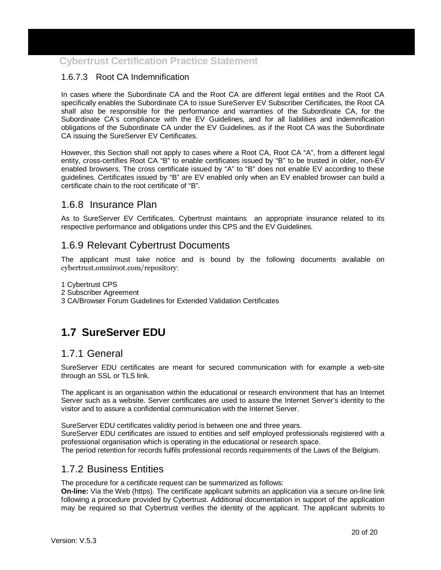#### 1.6.7.3 Root CA Indemnification

In cases where the Subordinate CA and the Root CA are different legal entities and the Root CA specifically enables the Subordinate CA to issue SureServer EV Subscriber Certificates, the Root CA shall also be responsible for the performance and warranties of the Subordinate CA, for the Subordinate CA's compliance with the EV Guidelines, and for all liabilities and indemnification obligations of the Subordinate CA under the EV Guidelines, as if the Root CA was the Subordinate CA issuing the SureServer EV Certificates.

However, this Section shall not apply to cases where a Root CA, Root CA "A", from a different legal entity, cross-certifies Root CA "B" to enable certificates issued by "B" to be trusted in older, non-EV enabled browsers. The cross certificate issued by "A" to "B" does not enable EV according to these guidelines. Certificates issued by "B" are EV enabled only when an EV enabled browser can build a certificate chain to the root certificate of "B".

#### 1.6.8 Insurance Plan

As to SureServer EV Certificates, Cybertrust maintains an appropriate insurance related to its respective performance and obligations under this CPS and the EV Guidelines.

#### 1.6.9 Relevant Cybertrust Documents

The applicant must take notice and is bound by the following documents available on cybertrust.omniroot.com/repository:

- 1 Cybertrust CPS
- 2 Subscriber Agreement
- 3 CA/Browser Forum Guidelines for Extended Validation Certificates

## **1.7 SureServer EDU**

#### 1.7.1 General

SureServer EDU certificates are meant for secured communication with for example a web-site through an SSL or TLS link.

The applicant is an organisation within the educational or research environment that has an Internet Server such as a website. Server certificates are used to assure the Internet Server's identity to the visitor and to assure a confidential communication with the Internet Server.

SureServer EDU certificates validity period is between one and three years.

SureServer EDU certificates are issued to entities and self employed professionals registered with a professional organisation which is operating in the educational or research space.

The period retention for records fulfils professional records requirements of the Laws of the Belgium.

#### 1.7.2 Business Entities

The procedure for a certificate request can be summarized as follows:

**On-line:** Via the Web (https). The certificate applicant submits an application via a secure on-line link following a procedure provided by Cybertrust. Additional documentation in support of the application may be required so that Cybertrust verifies the identity of the applicant. The applicant submits to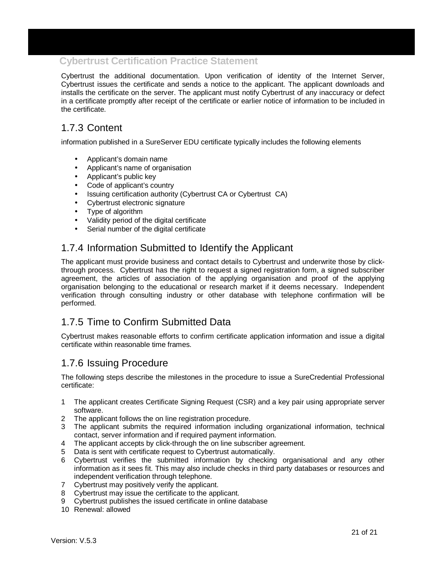Cybertrust the additional documentation. Upon verification of identity of the Internet Server, Cybertrust issues the certificate and sends a notice to the applicant. The applicant downloads and installs the certificate on the server. The applicant must notify Cybertrust of any inaccuracy or defect in a certificate promptly after receipt of the certificate or earlier notice of information to be included in the certificate.

### 1.7.3 Content

information published in a SureServer EDU certificate typically includes the following elements

- Applicant's domain name
- Applicant's name of organisation
- Applicant's public key
- Code of applicant's country
- Issuing certification authority (Cybertrust CA or Cybertrust CA)
- Cybertrust electronic signature
- Type of algorithm
- Validity period of the digital certificate
- Serial number of the digital certificate

#### 1.7.4 Information Submitted to Identify the Applicant

The applicant must provide business and contact details to Cybertrust and underwrite those by clickthrough process. Cybertrust has the right to request a signed registration form, a signed subscriber agreement, the articles of association of the applying organisation and proof of the applying organisation belonging to the educational or research market if it deems necessary. Independent verification through consulting industry or other database with telephone confirmation will be performed.

#### 1.7.5 Time to Confirm Submitted Data

Cybertrust makes reasonable efforts to confirm certificate application information and issue a digital certificate within reasonable time frames.

#### 1.7.6 Issuing Procedure

The following steps describe the milestones in the procedure to issue a SureCredential Professional certificate:

- 1 The applicant creates Certificate Signing Request (CSR) and a key pair using appropriate server software.
- 2 The applicant follows the on line registration procedure.
- 3 The applicant submits the required information including organizational information, technical contact, server information and if required payment information.
- 4 The applicant accepts by click-through the on line subscriber agreement.
- 5 Data is sent with certificate request to Cybertrust automatically.
- 6 Cybertrust verifies the submitted information by checking organisational and any other information as it sees fit. This may also include checks in third party databases or resources and independent verification through telephone.
- 7 Cybertrust may positively verify the applicant.
- 8 Cybertrust may issue the certificate to the applicant.
- 9 Cybertrust publishes the issued certificate in online database
- 10 Renewal: allowed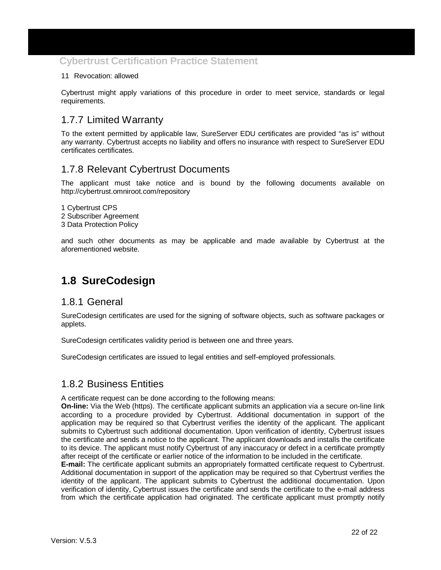#### 11 Revocation: allowed

Cybertrust might apply variations of this procedure in order to meet service, standards or legal requirements.

#### 1.7.7 Limited Warranty

To the extent permitted by applicable law, SureServer EDU certificates are provided "as is" without any warranty. Cybertrust accepts no liability and offers no insurance with respect to SureServer EDU certificates certificates.

#### 1.7.8 Relevant Cybertrust Documents

The applicant must take notice and is bound by the following documents available on http://cybertrust.omniroot.com/repository

1 Cybertrust CPS 2 Subscriber Agreement

3 Data Protection Policy

and such other documents as may be applicable and made available by Cybertrust at the aforementioned website.

## **1.8 SureCodesign**

#### 1.8.1 General

SureCodesign certificates are used for the signing of software objects, such as software packages or applets.

SureCodesign certificates validity period is between one and three years.

SureCodesign certificates are issued to legal entities and self-employed professionals.

#### 1.8.2 Business Entities

A certificate request can be done according to the following means:

**On-line:** Via the Web (https). The certificate applicant submits an application via a secure on-line link according to a procedure provided by Cybertrust. Additional documentation in support of the application may be required so that Cybertrust verifies the identity of the applicant. The applicant submits to Cybertrust such additional documentation. Upon verification of identity, Cybertrust issues the certificate and sends a notice to the applicant. The applicant downloads and installs the certificate to its device. The applicant must notify Cybertrust of any inaccuracy or defect in a certificate promptly after receipt of the certificate or earlier notice of the information to be included in the certificate.

**E-mail:** The certificate applicant submits an appropriately formatted certificate request to Cybertrust. Additional documentation in support of the application may be required so that Cybertrust verifies the identity of the applicant. The applicant submits to Cybertrust the additional documentation. Upon verification of identity, Cybertrust issues the certificate and sends the certificate to the e-mail address from which the certificate application had originated. The certificate applicant must promptly notify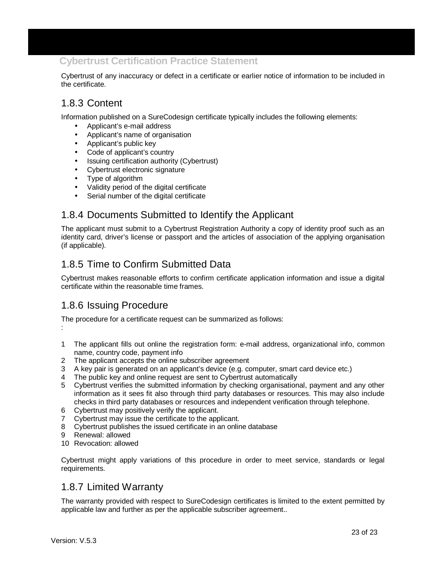Cybertrust of any inaccuracy or defect in a certificate or earlier notice of information to be included in the certificate.

#### 1.8.3 Content

Information published on a SureCodesign certificate typically includes the following elements:

- Applicant's e-mail address
- Applicant's name of organisation
- Applicant's public key
- Code of applicant's country
- Issuing certification authority (Cybertrust)
- Cybertrust electronic signature
- Type of algorithm
- Validity period of the digital certificate
- Serial number of the digital certificate

#### 1.8.4 Documents Submitted to Identify the Applicant

The applicant must submit to a Cybertrust Registration Authority a copy of identity proof such as an identity card, driver's license or passport and the articles of association of the applying organisation (if applicable).

### 1.8.5 Time to Confirm Submitted Data

Cybertrust makes reasonable efforts to confirm certificate application information and issue a digital certificate within the reasonable time frames.

#### 1.8.6 Issuing Procedure

The procedure for a certificate request can be summarized as follows:

- 1 The applicant fills out online the registration form: e-mail address, organizational info, common name, country code, payment info
- 2 The applicant accepts the online subscriber agreement
- 3 A key pair is generated on an applicant's device (e.g. computer, smart card device etc.)
- 4 The public key and online request are sent to Cybertrust automatically
- 5 Cybertrust verifies the submitted information by checking organisational, payment and any other information as it sees fit also through third party databases or resources. This may also include checks in third party databases or resources and independent verification through telephone.
- 6 Cybertrust may positively verify the applicant.
- 7 Cybertrust may issue the certificate to the applicant.
- 8 Cybertrust publishes the issued certificate in an online database
- 9 Renewal: allowed
- 10 Revocation: allowed

Cybertrust might apply variations of this procedure in order to meet service, standards or legal requirements.

#### 1.8.7 Limited Warranty

The warranty provided with respect to SureCodesign certificates is limited to the extent permitted by applicable law and further as per the applicable subscriber agreement..

: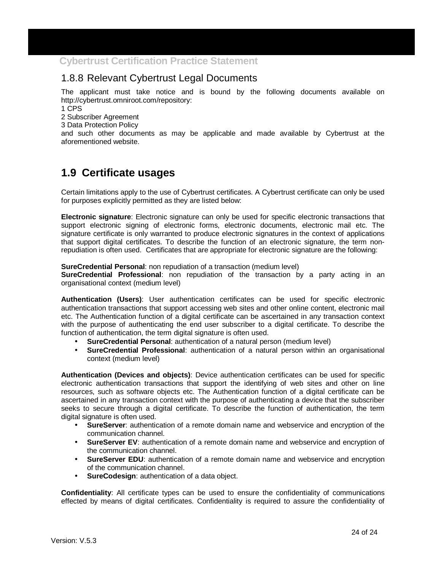#### 1.8.8 Relevant Cybertrust Legal Documents

The applicant must take notice and is bound by the following documents available on http://cybertrust.omniroot.com/repository:

1 CPS

2 Subscriber Agreement

3 Data Protection Policy

and such other documents as may be applicable and made available by Cybertrust at the aforementioned website.

## **1.9 Certificate usages**

Certain limitations apply to the use of Cybertrust certificates. A Cybertrust certificate can only be used for purposes explicitly permitted as they are listed below:

**Electronic signature**: Electronic signature can only be used for specific electronic transactions that support electronic signing of electronic forms, electronic documents, electronic mail etc. The signature certificate is only warranted to produce electronic signatures in the context of applications that support digital certificates. To describe the function of an electronic signature, the term nonrepudiation is often used. Certificates that are appropriate for electronic signature are the following:

**SureCredential Personal**: non repudiation of a transaction (medium level)

**SureCredential Professional**: non repudiation of the transaction by a party acting in an organisational context (medium level)

**Authentication (Users)**: User authentication certificates can be used for specific electronic authentication transactions that support accessing web sites and other online content, electronic mail etc. The Authentication function of a digital certificate can be ascertained in any transaction context with the purpose of authenticating the end user subscriber to a digital certificate. To describe the function of authentication, the term digital signature is often used.

- **SureCredential Personal**: authentication of a natural person (medium level)
- **SureCredential Professional**: authentication of a natural person within an organisational context (medium level)

**Authentication (Devices and objects)**: Device authentication certificates can be used for specific electronic authentication transactions that support the identifying of web sites and other on line resources, such as software objects etc. The Authentication function of a digital certificate can be ascertained in any transaction context with the purpose of authenticating a device that the subscriber seeks to secure through a digital certificate. To describe the function of authentication, the term digital signature is often used.

- **SureServer**: authentication of a remote domain name and webservice and encryption of the communication channel.
- **SureServer EV:** authentication of a remote domain name and webservice and encryption of the communication channel.
- **SureServer EDU:** authentication of a remote domain name and webservice and encryption of the communication channel.
- **SureCodesign: authentication of a data object.**

**Confidentiality**: All certificate types can be used to ensure the confidentiality of communications effected by means of digital certificates. Confidentiality is required to assure the confidentiality of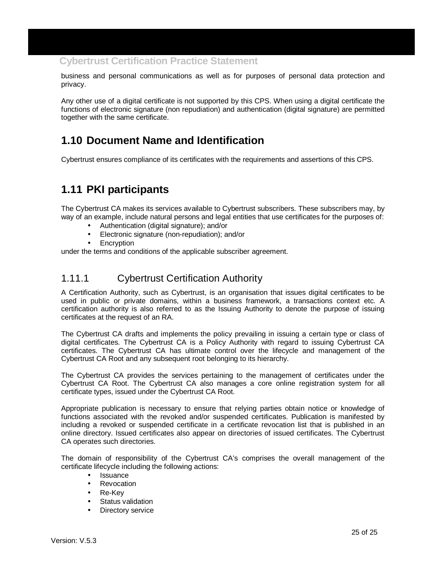business and personal communications as well as for purposes of personal data protection and privacy.

Any other use of a digital certificate is not supported by this CPS. When using a digital certificate the functions of electronic signature (non repudiation) and authentication (digital signature) are permitted together with the same certificate.

## **1.10 Document Name and Identification**

Cybertrust ensures compliance of its certificates with the requirements and assertions of this CPS.

## **1.11 PKI participants**

The Cybertrust CA makes its services available to Cybertrust subscribers. These subscribers may, by way of an example, include natural persons and legal entities that use certificates for the purposes of:

- Authentication (digital signature); and/or
- Electronic signature (non-repudiation); and/or
- **Encryption**

under the terms and conditions of the applicable subscriber agreement.

#### 1.11.1 Cybertrust Certification Authority

A Certification Authority, such as Cybertrust, is an organisation that issues digital certificates to be used in public or private domains, within a business framework, a transactions context etc. A certification authority is also referred to as the Issuing Authority to denote the purpose of issuing certificates at the request of an RA.

The Cybertrust CA drafts and implements the policy prevailing in issuing a certain type or class of digital certificates. The Cybertrust CA is a Policy Authority with regard to issuing Cybertrust CA certificates. The Cybertrust CA has ultimate control over the lifecycle and management of the Cybertrust CA Root and any subsequent root belonging to its hierarchy.

The Cybertrust CA provides the services pertaining to the management of certificates under the Cybertrust CA Root. The Cybertrust CA also manages a core online registration system for all certificate types, issued under the Cybertrust CA Root.

Appropriate publication is necessary to ensure that relying parties obtain notice or knowledge of functions associated with the revoked and/or suspended certificates. Publication is manifested by including a revoked or suspended certificate in a certificate revocation list that is published in an online directory. Issued certificates also appear on directories of issued certificates. The Cybertrust CA operates such directories.

The domain of responsibility of the Cybertrust CA's comprises the overall management of the certificate lifecycle including the following actions:

- **Issuance**
- **Revocation**
- Re-Key
- Status validation
- **Directory service**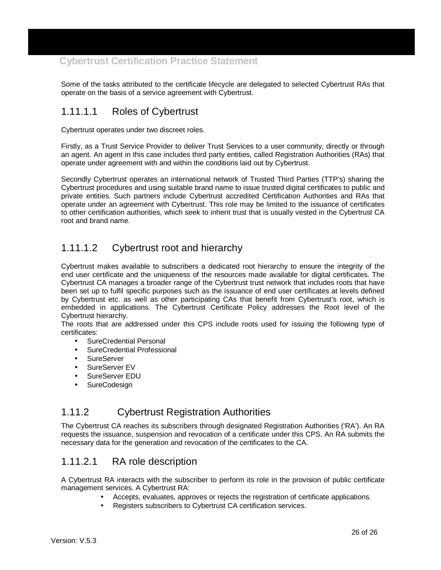Some of the tasks attributed to the certificate lifecycle are delegated to selected Cybertrust RAs that operate on the basis of a service agreement with Cybertrust.

## 1.11.1.1 Roles of Cybertrust

Cybertrust operates under two discreet roles.

Firstly, as a Trust Service Provider to deliver Trust Services to a user community, directly or through an agent. An agent in this case includes third party entities, called Registration Authorities (RAs) that operate under agreement with and within the conditions laid out by Cybertrust.

Secondly Cybertrust operates an international network of Trusted Third Parties (TTP's) sharing the Cybertrust procedures and using suitable brand name to issue trusted digital certificates to public and private entities. Such partners include Cybertrust accredited Certification Authorities and RAs that operate under an agreement with Cybertrust. This role may be limited to the issuance of certificates to other certification authorities, which seek to inherit trust that is usually vested in the Cybertrust CA root and brand name.

### 1.11.1.2 Cybertrust root and hierarchy

Cybertrust makes available to subscribers a dedicated root hierarchy to ensure the integrity of the end user certificate and the uniqueness of the resources made available for digital certificates. The Cybertrust CA manages a broader range of the Cybertrust trust network that includes roots that have been set up to fulfil specific purposes such as the issuance of end user certificates at levels defined by Cybertrust etc. as well as other participating CAs that benefit from Cybertrust's root, which is embedded in applications. The Cybertrust Certificate Policy addresses the Root level of the Cybertrust hierarchy.

The roots that are addressed under this CPS include roots used for issuing the following type of certificates:

- SureCredential Personal
- SureCredential Professional
- SureServer
- SureServer FV
- SureServer EDU
- **SureCodesign**

#### 1.11.2 Cybertrust Registration Authorities

The Cybertrust CA reaches its subscribers through designated Registration Authorities ('RA'). An RA requests the issuance, suspension and revocation of a certificate under this CPS. An RA submits the necessary data for the generation and revocation of the certificates to the CA.

#### 1.11.2.1 RA role description

A Cybertrust RA interacts with the subscriber to perform its role in the provision of public certificate management services. A Cybertrust RA:

- Accepts, evaluates, approves or rejects the registration of certificate applications.
	- Registers subscribers to Cybertrust CA certification services.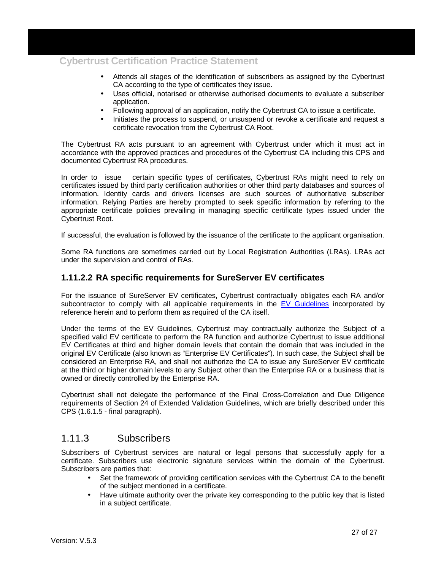- Attends all stages of the identification of subscribers as assigned by the Cybertrust CA according to the type of certificates they issue.
- Uses official, notarised or otherwise authorised documents to evaluate a subscriber application.
- Following approval of an application, notify the Cybertrust CA to issue a certificate.
- Initiates the process to suspend, or unsuspend or revoke a certificate and request a certificate revocation from the Cybertrust CA Root.

The Cybertrust RA acts pursuant to an agreement with Cybertrust under which it must act in accordance with the approved practices and procedures of the Cybertrust CA including this CPS and documented Cybertrust RA procedures.

In order to issue certain specific types of certificates, Cybertrust RAs might need to rely on certificates issued by third party certification authorities or other third party databases and sources of information. Identity cards and drivers licenses are such sources of authoritative subscriber information. Relying Parties are hereby prompted to seek specific information by referring to the appropriate certificate policies prevailing in managing specific certificate types issued under the Cybertrust Root.

If successful, the evaluation is followed by the issuance of the certificate to the applicant organisation.

Some RA functions are sometimes carried out by Local Registration Authorities (LRAs). LRAs act under the supervision and control of RAs.

#### **1.11.2.2 RA specific requirements for SureServer EV certificates**

For the issuance of SureServer EV certificates, Cybertrust contractually obligates each RA and/or subcontractor to comply with all applicable requirements in the EV Guidelines incorporated by reference herein and to perform them as required of the CA itself.

Under the terms of the EV Guidelines, Cybertrust may contractually authorize the Subject of a specified valid EV certificate to perform the RA function and authorize Cybertrust to issue additional EV Certificates at third and higher domain levels that contain the domain that was included in the original EV Certificate (also known as "Enterprise EV Certificates"). In such case, the Subject shall be considered an Enterprise RA, and shall not authorize the CA to issue any SureServer EV certificate at the third or higher domain levels to any Subject other than the Enterprise RA or a business that is owned or directly controlled by the Enterprise RA.

Cybertrust shall not delegate the performance of the Final Cross-Correlation and Due Diligence requirements of Section 24 of Extended Validation Guidelines, which are briefly described under this CPS (1.6.1.5 - final paragraph).

#### 1.11.3 Subscribers

Subscribers of Cybertrust services are natural or legal persons that successfully apply for a certificate. Subscribers use electronic signature services within the domain of the Cybertrust. Subscribers are parties that:

- Set the framework of providing certification services with the Cybertrust CA to the benefit of the subject mentioned in a certificate.
- Have ultimate authority over the private key corresponding to the public key that is listed in a subject certificate.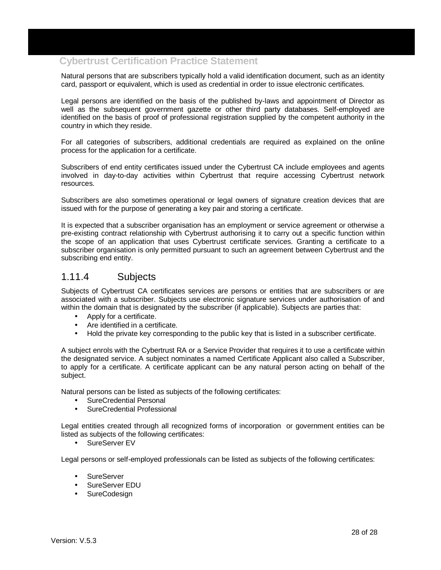Natural persons that are subscribers typically hold a valid identification document, such as an identity card, passport or equivalent, which is used as credential in order to issue electronic certificates.

Legal persons are identified on the basis of the published by-laws and appointment of Director as well as the subsequent government gazette or other third party databases. Self-employed are identified on the basis of proof of professional registration supplied by the competent authority in the country in which they reside.

For all categories of subscribers, additional credentials are required as explained on the online process for the application for a certificate.

Subscribers of end entity certificates issued under the Cybertrust CA include employees and agents involved in day-to-day activities within Cybertrust that require accessing Cybertrust network resources.

Subscribers are also sometimes operational or legal owners of signature creation devices that are issued with for the purpose of generating a key pair and storing a certificate.

It is expected that a subscriber organisation has an employment or service agreement or otherwise a pre-existing contract relationship with Cybertrust authorising it to carry out a specific function within the scope of an application that uses Cybertrust certificate services. Granting a certificate to a subscriber organisation is only permitted pursuant to such an agreement between Cybertrust and the subscribing end entity.

#### 1.11.4 Subjects

Subjects of Cybertrust CA certificates services are persons or entities that are subscribers or are associated with a subscriber. Subjects use electronic signature services under authorisation of and within the domain that is designated by the subscriber (if applicable). Subjects are parties that:

- Apply for a certificate.
- Are identified in a certificate.
- Hold the private key corresponding to the public key that is listed in a subscriber certificate.

A subject enrols with the Cybertrust RA or a Service Provider that requires it to use a certificate within the designated service. A subject nominates a named Certificate Applicant also called a Subscriber, to apply for a certificate. A certificate applicant can be any natural person acting on behalf of the subject.

Natural persons can be listed as subjects of the following certificates:

- SureCredential Personal
- SureCredential Professional

Legal entities created through all recognized forms of incorporation or government entities can be listed as subjects of the following certificates:

• SureServer EV

Legal persons or self-employed professionals can be listed as subjects of the following certificates:

- **SureServer**
- SureServer EDU
- **SureCodesign**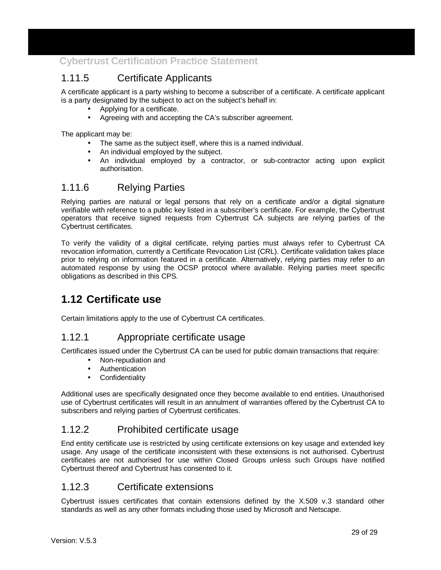### 1.11.5 Certificate Applicants

A certificate applicant is a party wishing to become a subscriber of a certificate. A certificate applicant is a party designated by the subject to act on the subject's behalf in:

- Applying for a certificate.
- Agreeing with and accepting the CA's subscriber agreement.

The applicant may be:

- The same as the subject itself, where this is a named individual.
- An individual employed by the subject.
- An individual employed by a contractor, or sub-contractor acting upon explicit authorisation.

#### 1.11.6 Relying Parties

Relying parties are natural or legal persons that rely on a certificate and/or a digital signature verifiable with reference to a public key listed in a subscriber's certificate. For example, the Cybertrust operators that receive signed requests from Cybertrust CA subjects are relying parties of the Cybertrust certificates.

To verify the validity of a digital certificate, relying parties must always refer to Cybertrust CA revocation information, currently a Certificate Revocation List (CRL). Certificate validation takes place prior to relying on information featured in a certificate. Alternatively, relying parties may refer to an automated response by using the OCSP protocol where available. Relying parties meet specific obligations as described in this CPS.

## **1.12 Certificate use**

Certain limitations apply to the use of Cybertrust CA certificates.

#### 1.12.1 Appropriate certificate usage

Certificates issued under the Cybertrust CA can be used for public domain transactions that require:

- Non-repudiation and
- Authentication
- **Confidentiality**

Additional uses are specifically designated once they become available to end entities. Unauthorised use of Cybertrust certificates will result in an annulment of warranties offered by the Cybertrust CA to subscribers and relying parties of Cybertrust certificates.

#### 1.12.2 Prohibited certificate usage

End entity certificate use is restricted by using certificate extensions on key usage and extended key usage. Any usage of the certificate inconsistent with these extensions is not authorised. Cybertrust certificates are not authorised for use within Closed Groups unless such Groups have notified Cybertrust thereof and Cybertrust has consented to it.

#### 1.12.3 Certificate extensions

Cybertrust issues certificates that contain extensions defined by the X.509 v.3 standard other standards as well as any other formats including those used by Microsoft and Netscape.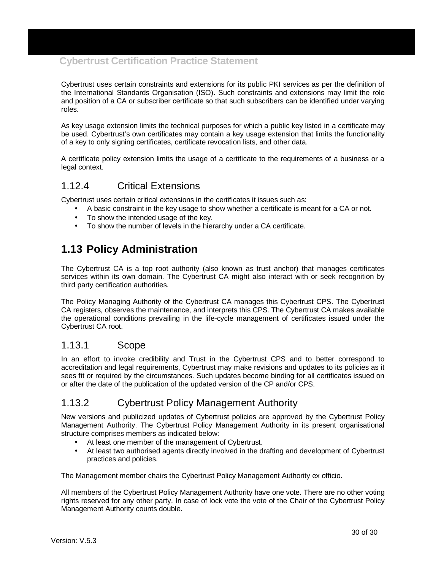Cybertrust uses certain constraints and extensions for its public PKI services as per the definition of the International Standards Organisation (ISO). Such constraints and extensions may limit the role and position of a CA or subscriber certificate so that such subscribers can be identified under varying roles.

As key usage extension limits the technical purposes for which a public key listed in a certificate may be used. Cybertrust's own certificates may contain a key usage extension that limits the functionality of a key to only signing certificates, certificate revocation lists, and other data.

A certificate policy extension limits the usage of a certificate to the requirements of a business or a legal context.

#### 1.12.4 Critical Extensions

Cybertrust uses certain critical extensions in the certificates it issues such as:

- A basic constraint in the key usage to show whether a certificate is meant for a CA or not.
- To show the intended usage of the key.
- To show the number of levels in the hierarchy under a CA certificate.

## **1.13 Policy Administration**

The Cybertrust CA is a top root authority (also known as trust anchor) that manages certificates services within its own domain. The Cybertrust CA might also interact with or seek recognition by third party certification authorities.

The Policy Managing Authority of the Cybertrust CA manages this Cybertrust CPS. The Cybertrust CA registers, observes the maintenance, and interprets this CPS. The Cybertrust CA makes available the operational conditions prevailing in the life-cycle management of certificates issued under the Cybertrust CA root.

#### 1.13.1 Scope

In an effort to invoke credibility and Trust in the Cybertrust CPS and to better correspond to accreditation and legal requirements, Cybertrust may make revisions and updates to its policies as it sees fit or required by the circumstances. Such updates become binding for all certificates issued on or after the date of the publication of the updated version of the CP and/or CPS.

#### 1.13.2 Cybertrust Policy Management Authority

New versions and publicized updates of Cybertrust policies are approved by the Cybertrust Policy Management Authority. The Cybertrust Policy Management Authority in its present organisational structure comprises members as indicated below:

- At least one member of the management of Cybertrust.
- At least two authorised agents directly involved in the drafting and development of Cybertrust practices and policies.

The Management member chairs the Cybertrust Policy Management Authority ex officio.

All members of the Cybertrust Policy Management Authority have one vote. There are no other voting rights reserved for any other party. In case of lock vote the vote of the Chair of the Cybertrust Policy Management Authority counts double.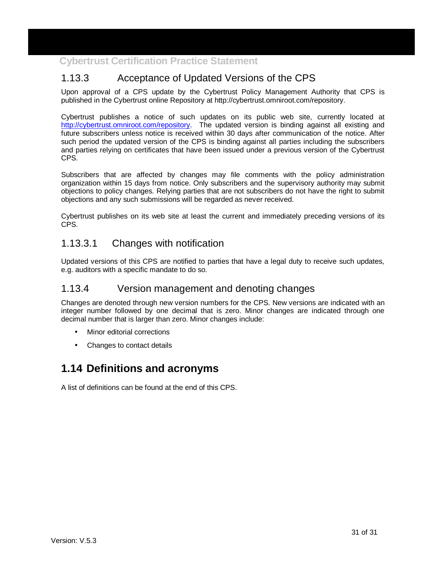## 1.13.3 Acceptance of Updated Versions of the CPS

Upon approval of a CPS update by the Cybertrust Policy Management Authority that CPS is published in the Cybertrust online Repository at http://cybertrust.omniroot.com/repository.

Cybertrust publishes a notice of such updates on its public web site, currently located at http://cybertrust.omniroot.com/repository. The updated version is binding against all existing and future subscribers unless notice is received within 30 days after communication of the notice. After such period the updated version of the CPS is binding against all parties including the subscribers and parties relying on certificates that have been issued under a previous version of the Cybertrust CPS.

Subscribers that are affected by changes may file comments with the policy administration organization within 15 days from notice. Only subscribers and the supervisory authority may submit objections to policy changes. Relying parties that are not subscribers do not have the right to submit objections and any such submissions will be regarded as never received.

Cybertrust publishes on its web site at least the current and immediately preceding versions of its CPS.

#### 1.13.3.1 Changes with notification

Updated versions of this CPS are notified to parties that have a legal duty to receive such updates, e.g. auditors with a specific mandate to do so.

#### 1.13.4 Version management and denoting changes

Changes are denoted through new version numbers for the CPS. New versions are indicated with an integer number followed by one decimal that is zero. Minor changes are indicated through one decimal number that is larger than zero. Minor changes include:

- Minor editorial corrections
- Changes to contact details

## **1.14 Definitions and acronyms**

A list of definitions can be found at the end of this CPS.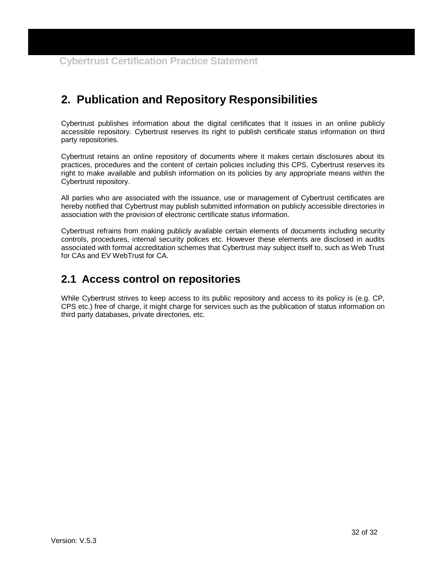# **2. Publication and Repository Responsibilities**

Cybertrust publishes information about the digital certificates that it issues in an online publicly accessible repository. Cybertrust reserves its right to publish certificate status information on third party repositories.

Cybertrust retains an online repository of documents where it makes certain disclosures about its practices, procedures and the content of certain policies including this CPS. Cybertrust reserves its right to make available and publish information on its policies by any appropriate means within the Cybertrust repository.

All parties who are associated with the issuance, use or management of Cybertrust certificates are hereby notified that Cybertrust may publish submitted information on publicly accessible directories in association with the provision of electronic certificate status information.

Cybertrust refrains from making publicly available certain elements of documents including security controls, procedures, internal security polices etc. However these elements are disclosed in audits associated with formal accreditation schemes that Cybertrust may subject itself to, such as Web Trust for CAs and EV WebTrust for CA.

## **2.1 Access control on repositories**

While Cybertrust strives to keep access to its public repository and access to its policy is (e.g. CP, CPS etc.) free of charge, it might charge for services such as the publication of status information on third party databases, private directories, etc.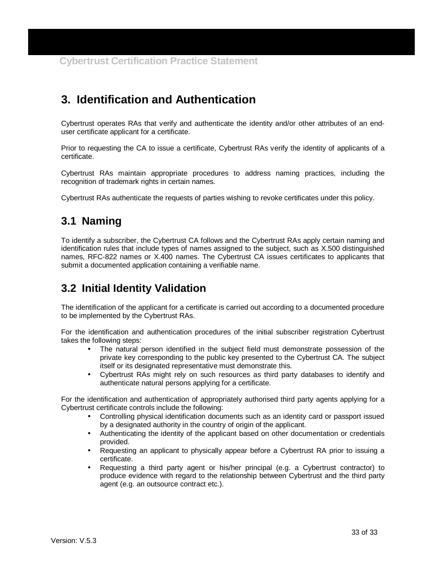# **3. Identification and Authentication**

Cybertrust operates RAs that verify and authenticate the identity and/or other attributes of an enduser certificate applicant for a certificate.

Prior to requesting the CA to issue a certificate, Cybertrust RAs verify the identity of applicants of a certificate.

Cybertrust RAs maintain appropriate procedures to address naming practices, including the recognition of trademark rights in certain names.

Cybertrust RAs authenticate the requests of parties wishing to revoke certificates under this policy.

## **3.1 Naming**

To identify a subscriber, the Cybertrust CA follows and the Cybertrust RAs apply certain naming and identification rules that include types of names assigned to the subject, such as X.500 distinguished names, RFC-822 names or X.400 names. The Cybertrust CA issues certificates to applicants that submit a documented application containing a verifiable name.

## **3.2 Initial Identity Validation**

The identification of the applicant for a certificate is carried out according to a documented procedure to be implemented by the Cybertrust RAs.

For the identification and authentication procedures of the initial subscriber registration Cybertrust takes the following steps:

- The natural person identified in the subject field must demonstrate possession of the private key corresponding to the public key presented to the Cybertrust CA. The subject itself or its designated representative must demonstrate this.
- Cybertrust RAs might rely on such resources as third party databases to identify and authenticate natural persons applying for a certificate.

For the identification and authentication of appropriately authorised third party agents applying for a Cybertrust certificate controls include the following:

- Controlling physical identification documents such as an identity card or passport issued by a designated authority in the country of origin of the applicant.
- Authenticating the identity of the applicant based on other documentation or credentials provided.
- Requesting an applicant to physically appear before a Cybertrust RA prior to issuing a certificate.
- Requesting a third party agent or his/her principal (e.g. a Cybertrust contractor) to produce evidence with regard to the relationship between Cybertrust and the third party agent (e.g. an outsource contract etc.).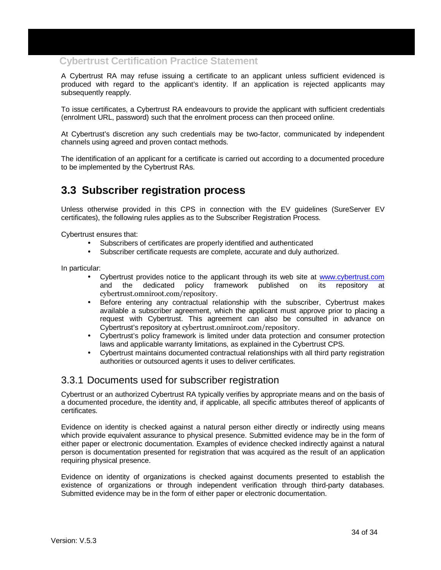A Cybertrust RA may refuse issuing a certificate to an applicant unless sufficient evidenced is produced with regard to the applicant's identity. If an application is rejected applicants may subsequently reapply.

To issue certificates, a Cybertrust RA endeavours to provide the applicant with sufficient credentials (enrolment URL, password) such that the enrolment process can then proceed online.

At Cybertrust's discretion any such credentials may be two-factor, communicated by independent channels using agreed and proven contact methods.

The identification of an applicant for a certificate is carried out according to a documented procedure to be implemented by the Cybertrust RAs.

## **3.3 Subscriber registration process**

Unless otherwise provided in this CPS in connection with the EV guidelines (SureServer EV certificates), the following rules applies as to the Subscriber Registration Process.

Cybertrust ensures that:

- Subscribers of certificates are properly identified and authenticated
- Subscriber certificate requests are complete, accurate and duly authorized.

In particular:

- Cybertrust provides notice to the applicant through its web site at www.cybertrust.com<br>and the dedicated policy framework published on its repository at and the dedicated policy framework published on its repository at cybertrust.omniroot.com/repository.
- Before entering any contractual relationship with the subscriber, Cybertrust makes available a subscriber agreement, which the applicant must approve prior to placing a request with Cybertrust. This agreement can also be consulted in advance on Cybertrust's repository at cybertrust.omniroot.com/repository.
- Cybertrust's policy framework is limited under data protection and consumer protection laws and applicable warranty limitations, as explained in the Cybertrust CPS.
- Cybertrust maintains documented contractual relationships with all third party registration authorities or outsourced agents it uses to deliver certificates.

#### 3.3.1 Documents used for subscriber registration

Cybertrust or an authorized Cybertrust RA typically verifies by appropriate means and on the basis of a documented procedure, the identity and, if applicable, all specific attributes thereof of applicants of certificates.

Evidence on identity is checked against a natural person either directly or indirectly using means which provide equivalent assurance to physical presence. Submitted evidence may be in the form of either paper or electronic documentation. Examples of evidence checked indirectly against a natural person is documentation presented for registration that was acquired as the result of an application requiring physical presence.

Evidence on identity of organizations is checked against documents presented to establish the existence of organizations or through independent verification through third-party databases. Submitted evidence may be in the form of either paper or electronic documentation.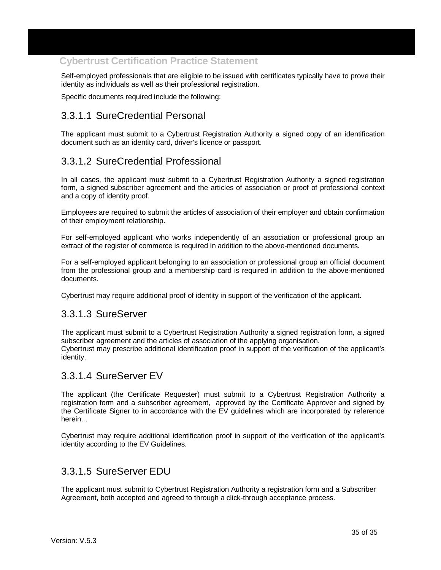Self-employed professionals that are eligible to be issued with certificates typically have to prove their identity as individuals as well as their professional registration.

Specific documents required include the following:

### 3.3.1.1 SureCredential Personal

The applicant must submit to a Cybertrust Registration Authority a signed copy of an identification document such as an identity card, driver's licence or passport.

### 3.3.1.2 SureCredential Professional

In all cases, the applicant must submit to a Cybertrust Registration Authority a signed registration form, a signed subscriber agreement and the articles of association or proof of professional context and a copy of identity proof.

Employees are required to submit the articles of association of their employer and obtain confirmation of their employment relationship.

For self-employed applicant who works independently of an association or professional group an extract of the register of commerce is required in addition to the above-mentioned documents.

For a self-employed applicant belonging to an association or professional group an official document from the professional group and a membership card is required in addition to the above-mentioned documents.

Cybertrust may require additional proof of identity in support of the verification of the applicant.

#### 3.3.1.3 SureServer

The applicant must submit to a Cybertrust Registration Authority a signed registration form, a signed subscriber agreement and the articles of association of the applying organisation. Cybertrust may prescribe additional identification proof in support of the verification of the applicant's identity.

#### 3.3.1.4 SureServer EV

The applicant (the Certificate Requester) must submit to a Cybertrust Registration Authority a registration form and a subscriber agreement, approved by the Certificate Approver and signed by the Certificate Signer to in accordance with the EV guidelines which are incorporated by reference herein. .

Cybertrust may require additional identification proof in support of the verification of the applicant's identity according to the EV Guidelines.

#### 3.3.1.5 SureServer EDU

The applicant must submit to Cybertrust Registration Authority a registration form and a Subscriber Agreement, both accepted and agreed to through a click-through acceptance process.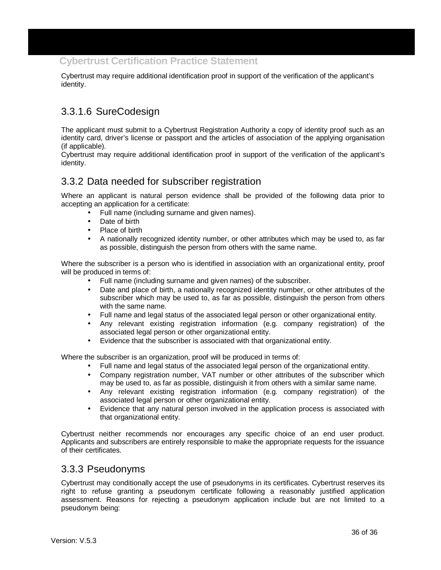Cybertrust may require additional identification proof in support of the verification of the applicant's identity.

## 3.3.1.6 SureCodesign

The applicant must submit to a Cybertrust Registration Authority a copy of identity proof such as an identity card, driver's license or passport and the articles of association of the applying organisation (if applicable).

Cybertrust may require additional identification proof in support of the verification of the applicant's identity.

### 3.3.2 Data needed for subscriber registration

Where an applicant is natural person evidence shall be provided of the following data prior to accepting an application for a certificate:

- Full name (including surname and given names).
- Date of birth
- Place of birth
- A nationally recognized identity number, or other attributes which may be used to, as far as possible, distinguish the person from others with the same name.

Where the subscriber is a person who is identified in association with an organizational entity, proof will be produced in terms of:

- Full name (including surname and given names) of the subscriber.
- Date and place of birth, a nationally recognized identity number, or other attributes of the subscriber which may be used to, as far as possible, distinguish the person from others with the same name.
- Full name and legal status of the associated legal person or other organizational entity.
- Any relevant existing registration information (e.g. company registration) of the associated legal person or other organizational entity.
- Evidence that the subscriber is associated with that organizational entity.

Where the subscriber is an organization, proof will be produced in terms of:

- Full name and legal status of the associated legal person of the organizational entity.
- Company registration number, VAT number or other attributes of the subscriber which may be used to, as far as possible, distinguish it from others with a similar same name.
- Any relevant existing registration information (e.g. company registration) of the associated legal person or other organizational entity.
- Evidence that any natural person involved in the application process is associated with that organizational entity.

Cybertrust neither recommends nor encourages any specific choice of an end user product. Applicants and subscribers are entirely responsible to make the appropriate requests for the issuance of their certificates.

#### 3.3.3 Pseudonyms

Cybertrust may conditionally accept the use of pseudonyms in its certificates. Cybertrust reserves its right to refuse granting a pseudonym certificate following a reasonably justified application assessment. Reasons for rejecting a pseudonym application include but are not limited to a pseudonym being: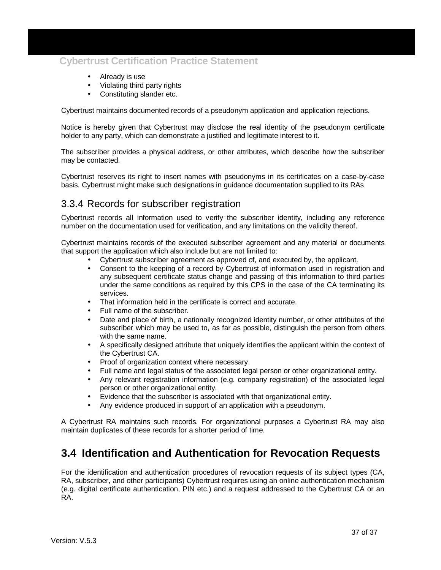- Already is use
- Violating third party rights
- Constituting slander etc.

Cybertrust maintains documented records of a pseudonym application and application rejections.

Notice is hereby given that Cybertrust may disclose the real identity of the pseudonym certificate holder to any party, which can demonstrate a justified and legitimate interest to it.

The subscriber provides a physical address, or other attributes, which describe how the subscriber may be contacted.

Cybertrust reserves its right to insert names with pseudonyms in its certificates on a case-by-case basis. Cybertrust might make such designations in guidance documentation supplied to its RAs

### 3.3.4 Records for subscriber registration

Cybertrust records all information used to verify the subscriber identity, including any reference number on the documentation used for verification, and any limitations on the validity thereof.

Cybertrust maintains records of the executed subscriber agreement and any material or documents that support the application which also include but are not limited to:

- Cybertrust subscriber agreement as approved of, and executed by, the applicant.
- Consent to the keeping of a record by Cybertrust of information used in registration and any subsequent certificate status change and passing of this information to third parties under the same conditions as required by this CPS in the case of the CA terminating its services.
- That information held in the certificate is correct and accurate.
- Full name of the subscriber.
- Date and place of birth, a nationally recognized identity number, or other attributes of the subscriber which may be used to, as far as possible, distinguish the person from others with the same name.
- A specifically designed attribute that uniquely identifies the applicant within the context of the Cybertrust CA.
- Proof of organization context where necessary.
- Full name and legal status of the associated legal person or other organizational entity.
- Any relevant registration information (e.g. company registration) of the associated legal person or other organizational entity.
- Evidence that the subscriber is associated with that organizational entity.
- Any evidence produced in support of an application with a pseudonym.

A Cybertrust RA maintains such records. For organizational purposes a Cybertrust RA may also maintain duplicates of these records for a shorter period of time.

## **3.4 Identification and Authentication for Revocation Requests**

For the identification and authentication procedures of revocation requests of its subject types (CA, RA, subscriber, and other participants) Cybertrust requires using an online authentication mechanism (e.g. digital certificate authentication, PIN etc.) and a request addressed to the Cybertrust CA or an RA.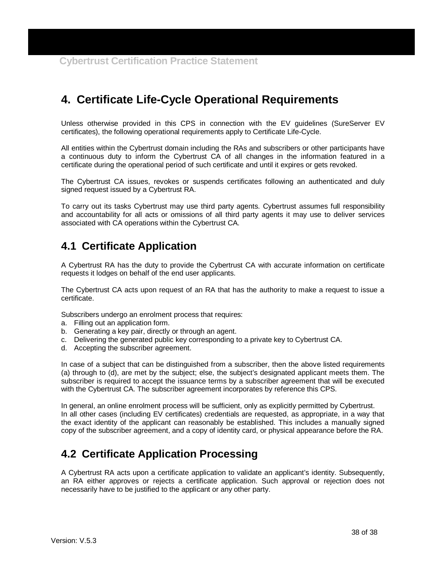# **4. Certificate Life-Cycle Operational Requirements**

Unless otherwise provided in this CPS in connection with the EV guidelines (SureServer EV certificates), the following operational requirements apply to Certificate Life-Cycle.

All entities within the Cybertrust domain including the RAs and subscribers or other participants have a continuous duty to inform the Cybertrust CA of all changes in the information featured in a certificate during the operational period of such certificate and until it expires or gets revoked.

The Cybertrust CA issues, revokes or suspends certificates following an authenticated and duly signed request issued by a Cybertrust RA.

To carry out its tasks Cybertrust may use third party agents. Cybertrust assumes full responsibility and accountability for all acts or omissions of all third party agents it may use to deliver services associated with CA operations within the Cybertrust CA.

## **4.1 Certificate Application**

A Cybertrust RA has the duty to provide the Cybertrust CA with accurate information on certificate requests it lodges on behalf of the end user applicants.

The Cybertrust CA acts upon request of an RA that has the authority to make a request to issue a certificate.

Subscribers undergo an enrolment process that requires:

- a. Filling out an application form.
- b. Generating a key pair, directly or through an agent.
- c. Delivering the generated public key corresponding to a private key to Cybertrust CA.
- d. Accepting the subscriber agreement.

In case of a subject that can be distinguished from a subscriber, then the above listed requirements (a) through to (d), are met by the subject; else, the subject's designated applicant meets them. The subscriber is required to accept the issuance terms by a subscriber agreement that will be executed with the Cybertrust CA. The subscriber agreement incorporates by reference this CPS.

In general, an online enrolment process will be sufficient, only as explicitly permitted by Cybertrust. In all other cases (including EV certificates) credentials are requested, as appropriate, in a way that the exact identity of the applicant can reasonably be established. This includes a manually signed copy of the subscriber agreement, and a copy of identity card, or physical appearance before the RA.

## **4.2 Certificate Application Processing**

A Cybertrust RA acts upon a certificate application to validate an applicant's identity. Subsequently, an RA either approves or rejects a certificate application. Such approval or rejection does not necessarily have to be justified to the applicant or any other party.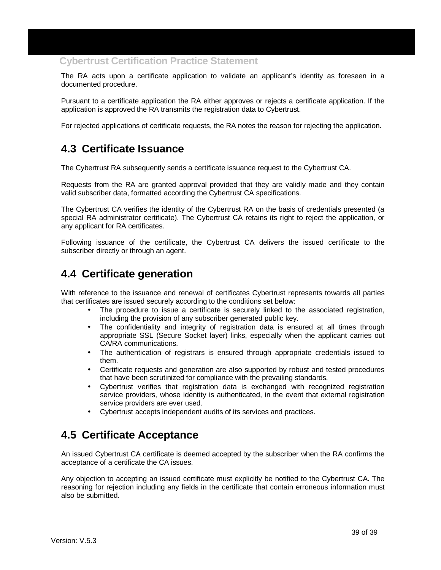The RA acts upon a certificate application to validate an applicant's identity as foreseen in a documented procedure.

Pursuant to a certificate application the RA either approves or rejects a certificate application. If the application is approved the RA transmits the registration data to Cybertrust.

For rejected applications of certificate requests, the RA notes the reason for rejecting the application.

## **4.3 Certificate Issuance**

The Cybertrust RA subsequently sends a certificate issuance request to the Cybertrust CA.

Requests from the RA are granted approval provided that they are validly made and they contain valid subscriber data, formatted according the Cybertrust CA specifications.

The Cybertrust CA verifies the identity of the Cybertrust RA on the basis of credentials presented (a special RA administrator certificate). The Cybertrust CA retains its right to reject the application, or any applicant for RA certificates.

Following issuance of the certificate, the Cybertrust CA delivers the issued certificate to the subscriber directly or through an agent.

## **4.4 Certificate generation**

With reference to the issuance and renewal of certificates Cybertrust represents towards all parties that certificates are issued securely according to the conditions set below:

- The procedure to issue a certificate is securely linked to the associated registration, including the provision of any subscriber generated public key.
- The confidentiality and integrity of registration data is ensured at all times through appropriate SSL (Secure Socket layer) links, especially when the applicant carries out CA/RA communications.
- The authentication of registrars is ensured through appropriate credentials issued to them.
- Certificate requests and generation are also supported by robust and tested procedures that have been scrutinized for compliance with the prevailing standards.
- Cybertrust verifies that registration data is exchanged with recognized registration service providers, whose identity is authenticated, in the event that external registration service providers are ever used.
- Cybertrust accepts independent audits of its services and practices.

## **4.5 Certificate Acceptance**

An issued Cybertrust CA certificate is deemed accepted by the subscriber when the RA confirms the acceptance of a certificate the CA issues.

Any objection to accepting an issued certificate must explicitly be notified to the Cybertrust CA. The reasoning for rejection including any fields in the certificate that contain erroneous information must also be submitted.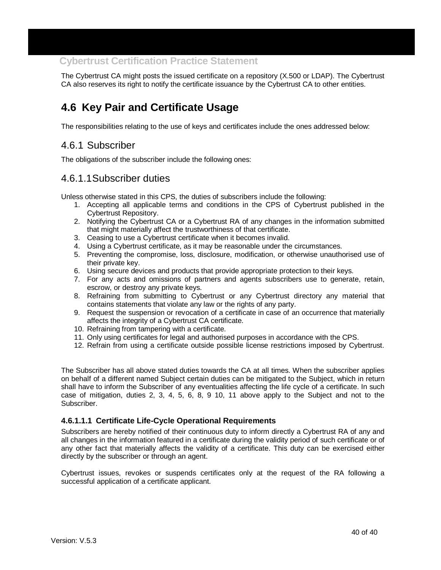The Cybertrust CA might posts the issued certificate on a repository (X.500 or LDAP). The Cybertrust CA also reserves its right to notify the certificate issuance by the Cybertrust CA to other entities.

## **4.6 Key Pair and Certificate Usage**

The responsibilities relating to the use of keys and certificates include the ones addressed below:

### 4.6.1 Subscriber

The obligations of the subscriber include the following ones:

#### 4.6.1.1 Subscriber duties

Unless otherwise stated in this CPS, the duties of subscribers include the following:

- 1. Accepting all applicable terms and conditions in the CPS of Cybertrust published in the Cybertrust Repository.
- 2. Notifying the Cybertrust CA or a Cybertrust RA of any changes in the information submitted that might materially affect the trustworthiness of that certificate.
- 3. Ceasing to use a Cybertrust certificate when it becomes invalid.
- 4. Using a Cybertrust certificate, as it may be reasonable under the circumstances.
- 5. Preventing the compromise, loss, disclosure, modification, or otherwise unauthorised use of their private key.
- 6. Using secure devices and products that provide appropriate protection to their keys.
- 7. For any acts and omissions of partners and agents subscribers use to generate, retain, escrow, or destroy any private keys.
- 8. Refraining from submitting to Cybertrust or any Cybertrust directory any material that contains statements that violate any law or the rights of any party.
- 9. Request the suspension or revocation of a certificate in case of an occurrence that materially affects the integrity of a Cybertrust CA certificate.
- 10. Refraining from tampering with a certificate.
- 11. Only using certificates for legal and authorised purposes in accordance with the CPS.
- 12. Refrain from using a certificate outside possible license restrictions imposed by Cybertrust.

The Subscriber has all above stated duties towards the CA at all times. When the subscriber applies on behalf of a different named Subject certain duties can be mitigated to the Subject, which in return shall have to inform the Subscriber of any eventualities affecting the life cycle of a certificate. In such case of mitigation, duties 2, 3, 4, 5, 6, 8, 9 10, 11 above apply to the Subject and not to the Subscriber.

#### **4.6.1.1.1 Certificate Life-Cycle Operational Requirements**

Subscribers are hereby notified of their continuous duty to inform directly a Cybertrust RA of any and all changes in the information featured in a certificate during the validity period of such certificate or of any other fact that materially affects the validity of a certificate. This duty can be exercised either directly by the subscriber or through an agent.

Cybertrust issues, revokes or suspends certificates only at the request of the RA following a successful application of a certificate applicant.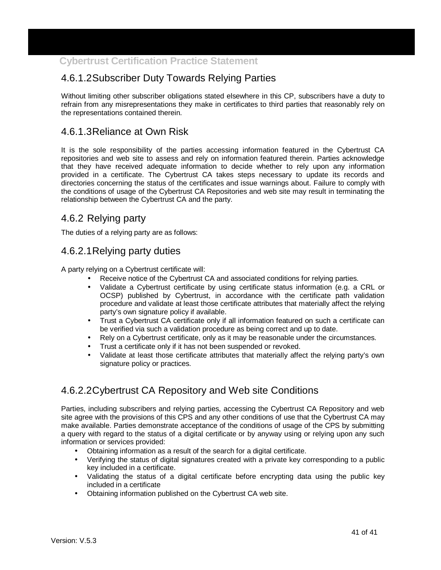## 4.6.1.2 Subscriber Duty Towards Relying Parties

Without limiting other subscriber obligations stated elsewhere in this CP, subscribers have a duty to refrain from any misrepresentations they make in certificates to third parties that reasonably rely on the representations contained therein.

### 4.6.1.3 Reliance at Own Risk

It is the sole responsibility of the parties accessing information featured in the Cybertrust CA repositories and web site to assess and rely on information featured therein. Parties acknowledge that they have received adequate information to decide whether to rely upon any information provided in a certificate. The Cybertrust CA takes steps necessary to update its records and directories concerning the status of the certificates and issue warnings about. Failure to comply with the conditions of usage of the Cybertrust CA Repositories and web site may result in terminating the relationship between the Cybertrust CA and the party.

### 4.6.2 Relying party

The duties of a relying party are as follows:

## 4.6.2.1 Relying party duties

A party relying on a Cybertrust certificate will:

- Receive notice of the Cybertrust CA and associated conditions for relying parties.
- Validate a Cybertrust certificate by using certificate status information (e.g. a CRL or OCSP) published by Cybertrust, in accordance with the certificate path validation procedure and validate at least those certificate attributes that materially affect the relying party's own signature policy if available.
- Trust a Cybertrust CA certificate only if all information featured on such a certificate can be verified via such a validation procedure as being correct and up to date.
- Rely on a Cybertrust certificate, only as it may be reasonable under the circumstances.
- Trust a certificate only if it has not been suspended or revoked.
- Validate at least those certificate attributes that materially affect the relying party's own signature policy or practices.

## 4.6.2.2 Cybertrust CA Repository and Web site Conditions

Parties, including subscribers and relying parties, accessing the Cybertrust CA Repository and web site agree with the provisions of this CPS and any other conditions of use that the Cybertrust CA may make available. Parties demonstrate acceptance of the conditions of usage of the CPS by submitting a query with regard to the status of a digital certificate or by anyway using or relying upon any such information or services provided:

- Obtaining information as a result of the search for a digital certificate.
- Verifying the status of digital signatures created with a private key corresponding to a public key included in a certificate.
- Validating the status of a digital certificate before encrypting data using the public key included in a certificate
- Obtaining information published on the Cybertrust CA web site.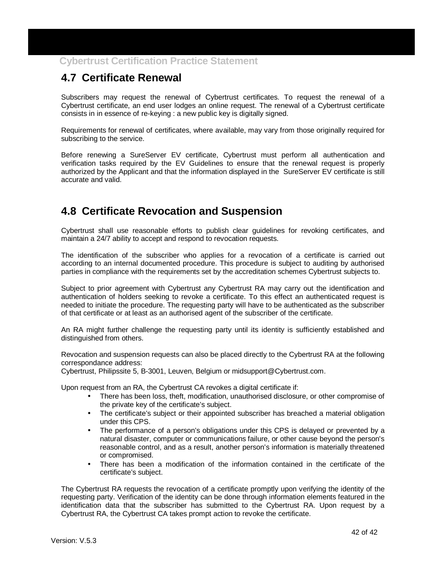# **4.7 Certificate Renewal**

Subscribers may request the renewal of Cybertrust certificates. To request the renewal of a Cybertrust certificate, an end user lodges an online request. The renewal of a Cybertrust certificate consists in in essence of re-keying : a new public key is digitally signed.

Requirements for renewal of certificates, where available, may vary from those originally required for subscribing to the service.

Before renewing a SureServer EV certificate, Cybertrust must perform all authentication and verification tasks required by the EV Guidelines to ensure that the renewal request is properly authorized by the Applicant and that the information displayed in the SureServer EV certificate is still accurate and valid.

## **4.8 Certificate Revocation and Suspension**

Cybertrust shall use reasonable efforts to publish clear guidelines for revoking certificates, and maintain a 24/7 ability to accept and respond to revocation requests.

The identification of the subscriber who applies for a revocation of a certificate is carried out according to an internal documented procedure. This procedure is subject to auditing by authorised parties in compliance with the requirements set by the accreditation schemes Cybertrust subjects to.

Subject to prior agreement with Cybertrust any Cybertrust RA may carry out the identification and authentication of holders seeking to revoke a certificate. To this effect an authenticated request is needed to initiate the procedure. The requesting party will have to be authenticated as the subscriber of that certificate or at least as an authorised agent of the subscriber of the certificate.

An RA might further challenge the requesting party until its identity is sufficiently established and distinguished from others.

Revocation and suspension requests can also be placed directly to the Cybertrust RA at the following correspondance address:

Cybertrust, Philipssite 5, B-3001, Leuven, Belgium or midsupport@Cybertrust.com.

Upon request from an RA, the Cybertrust CA revokes a digital certificate if:

- There has been loss, theft, modification, unauthorised disclosure, or other compromise of the private key of the certificate's subject.
- The certificate's subject or their appointed subscriber has breached a material obligation under this CPS.
- The performance of a person's obligations under this CPS is delayed or prevented by a natural disaster, computer or communications failure, or other cause beyond the person's reasonable control, and as a result, another person's information is materially threatened or compromised.
- There has been a modification of the information contained in the certificate of the certificate's subject.

The Cybertrust RA requests the revocation of a certificate promptly upon verifying the identity of the requesting party. Verification of the identity can be done through information elements featured in the identification data that the subscriber has submitted to the Cybertrust RA. Upon request by a Cybertrust RA, the Cybertrust CA takes prompt action to revoke the certificate.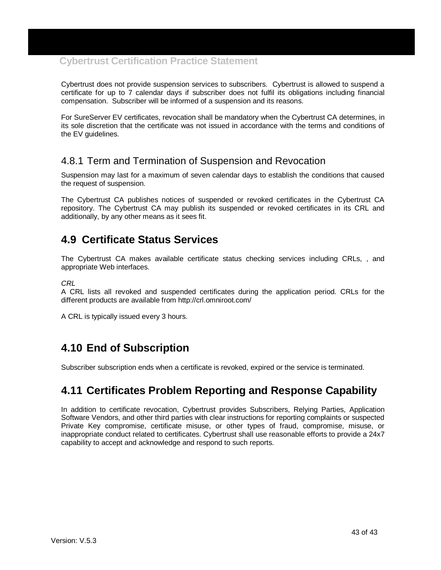Cybertrust does not provide suspension services to subscribers. Cybertrust is allowed to suspend a certificate for up to 7 calendar days if subscriber does not fulfil its obligations including financial compensation. Subscriber will be informed of a suspension and its reasons.

For SureServer EV certificates, revocation shall be mandatory when the Cybertrust CA determines, in its sole discretion that the certificate was not issued in accordance with the terms and conditions of the EV guidelines.

### 4.8.1 Term and Termination of Suspension and Revocation

Suspension may last for a maximum of seven calendar days to establish the conditions that caused the request of suspension.

The Cybertrust CA publishes notices of suspended or revoked certificates in the Cybertrust CA repository. The Cybertrust CA may publish its suspended or revoked certificates in its CRL and additionally, by any other means as it sees fit.

## **4.9 Certificate Status Services**

The Cybertrust CA makes available certificate status checking services including CRLs, , and appropriate Web interfaces.

CRL

A CRL lists all revoked and suspended certificates during the application period. CRLs for the different products are available from http://crl.omniroot.com/

A CRL is typically issued every 3 hours.

## **4.10 End of Subscription**

Subscriber subscription ends when a certificate is revoked, expired or the service is terminated.

## **4.11 Certificates Problem Reporting and Response Capability**

In addition to certificate revocation, Cybertrust provides Subscribers, Relying Parties, Application Software Vendors, and other third parties with clear instructions for reporting complaints or suspected Private Key compromise, certificate misuse, or other types of fraud, compromise, misuse, or inappropriate conduct related to certificates. Cybertrust shall use reasonable efforts to provide a 24x7 capability to accept and acknowledge and respond to such reports.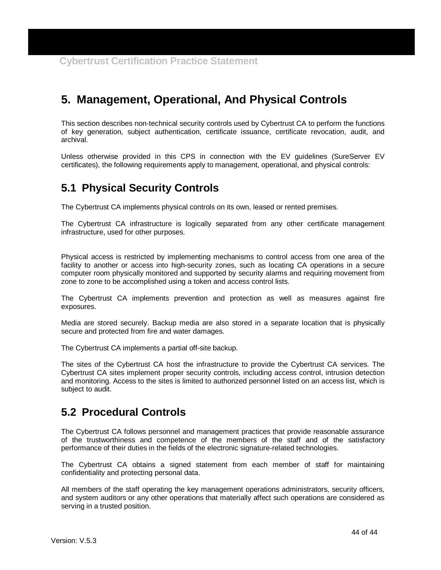# **5. Management, Operational, And Physical Controls**

This section describes non-technical security controls used by Cybertrust CA to perform the functions of key generation, subject authentication, certificate issuance, certificate revocation, audit, and archival.

Unless otherwise provided in this CPS in connection with the EV guidelines (SureServer EV certificates), the following requirements apply to management, operational, and physical controls:

## **5.1 Physical Security Controls**

The Cybertrust CA implements physical controls on its own, leased or rented premises.

The Cybertrust CA infrastructure is logically separated from any other certificate management infrastructure, used for other purposes.

Physical access is restricted by implementing mechanisms to control access from one area of the facility to another or access into high-security zones, such as locating CA operations in a secure computer room physically monitored and supported by security alarms and requiring movement from zone to zone to be accomplished using a token and access control lists.

The Cybertrust CA implements prevention and protection as well as measures against fire exposures.

Media are stored securely. Backup media are also stored in a separate location that is physically secure and protected from fire and water damages.

The Cybertrust CA implements a partial off-site backup.

The sites of the Cybertrust CA host the infrastructure to provide the Cybertrust CA services. The Cybertrust CA sites implement proper security controls, including access control, intrusion detection and monitoring. Access to the sites is limited to authorized personnel listed on an access list, which is subject to audit.

## **5.2 Procedural Controls**

The Cybertrust CA follows personnel and management practices that provide reasonable assurance of the trustworthiness and competence of the members of the staff and of the satisfactory performance of their duties in the fields of the electronic signature-related technologies.

The Cybertrust CA obtains a signed statement from each member of staff for maintaining confidentiality and protecting personal data.

All members of the staff operating the key management operations administrators, security officers, and system auditors or any other operations that materially affect such operations are considered as serving in a trusted position.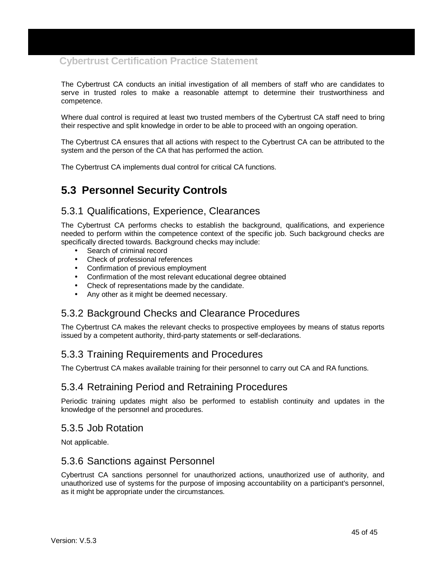The Cybertrust CA conducts an initial investigation of all members of staff who are candidates to serve in trusted roles to make a reasonable attempt to determine their trustworthiness and competence.

Where dual control is required at least two trusted members of the Cybertrust CA staff need to bring their respective and split knowledge in order to be able to proceed with an ongoing operation.

The Cybertrust CA ensures that all actions with respect to the Cybertrust CA can be attributed to the system and the person of the CA that has performed the action.

The Cybertrust CA implements dual control for critical CA functions.

## **5.3 Personnel Security Controls**

#### 5.3.1 Qualifications, Experience, Clearances

The Cybertrust CA performs checks to establish the background, qualifications, and experience needed to perform within the competence context of the specific job. Such background checks are specifically directed towards. Background checks may include:

- Search of criminal record
- Check of professional references
- Confirmation of previous employment
- Confirmation of the most relevant educational degree obtained
- Check of representations made by the candidate.
- Any other as it might be deemed necessary.

#### 5.3.2 Background Checks and Clearance Procedures

The Cybertrust CA makes the relevant checks to prospective employees by means of status reports issued by a competent authority, third-party statements or self-declarations.

#### 5.3.3 Training Requirements and Procedures

The Cybertrust CA makes available training for their personnel to carry out CA and RA functions.

#### 5.3.4 Retraining Period and Retraining Procedures

Periodic training updates might also be performed to establish continuity and updates in the knowledge of the personnel and procedures.

#### 5.3.5 Job Rotation

Not applicable.

#### 5.3.6 Sanctions against Personnel

Cybertrust CA sanctions personnel for unauthorized actions, unauthorized use of authority, and unauthorized use of systems for the purpose of imposing accountability on a participant's personnel, as it might be appropriate under the circumstances.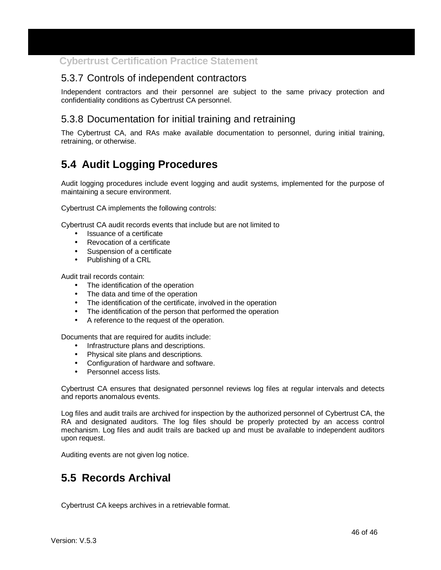### 5.3.7 Controls of independent contractors

Independent contractors and their personnel are subject to the same privacy protection and confidentiality conditions as Cybertrust CA personnel.

### 5.3.8 Documentation for initial training and retraining

The Cybertrust CA, and RAs make available documentation to personnel, during initial training, retraining, or otherwise.

## **5.4 Audit Logging Procedures**

Audit logging procedures include event logging and audit systems, implemented for the purpose of maintaining a secure environment.

Cybertrust CA implements the following controls:

Cybertrust CA audit records events that include but are not limited to

- Issuance of a certificate
- Revocation of a certificate
- Suspension of a certificate
- Publishing of a CRL

Audit trail records contain:

- The identification of the operation
- The data and time of the operation
- The identification of the certificate, involved in the operation
- The identification of the person that performed the operation
- A reference to the request of the operation.

Documents that are required for audits include:

- Infrastructure plans and descriptions.
- Physical site plans and descriptions.
- Configuration of hardware and software.
- Personnel access lists.

Cybertrust CA ensures that designated personnel reviews log files at regular intervals and detects and reports anomalous events.

Log files and audit trails are archived for inspection by the authorized personnel of Cybertrust CA, the RA and designated auditors. The log files should be properly protected by an access control mechanism. Log files and audit trails are backed up and must be available to independent auditors upon request.

Auditing events are not given log notice.

## **5.5 Records Archival**

Cybertrust CA keeps archives in a retrievable format.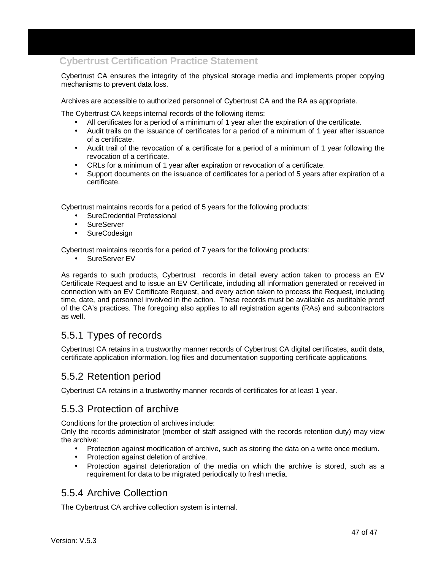Cybertrust CA ensures the integrity of the physical storage media and implements proper copying mechanisms to prevent data loss.

Archives are accessible to authorized personnel of Cybertrust CA and the RA as appropriate.

The Cybertrust CA keeps internal records of the following items:

- All certificates for a period of a minimum of 1 year after the expiration of the certificate.
- Audit trails on the issuance of certificates for a period of a minimum of 1 year after issuance of a certificate.
- Audit trail of the revocation of a certificate for a period of a minimum of 1 year following the revocation of a certificate.
- CRLs for a minimum of 1 year after expiration or revocation of a certificate.
- Support documents on the issuance of certificates for a period of 5 years after expiration of a certificate.

Cybertrust maintains records for a period of 5 years for the following products:

- SureCredential Professional
- **SureServer**
- **SureCodesign**

Cybertrust maintains records for a period of 7 years for the following products:

SureServer EV

As regards to such products, Cybertrust records in detail every action taken to process an EV Certificate Request and to issue an EV Certificate, including all information generated or received in connection with an EV Certificate Request, and every action taken to process the Request, including time, date, and personnel involved in the action. These records must be available as auditable proof of the CA's practices. The foregoing also applies to all registration agents (RAs) and subcontractors as well.

### 5.5.1 Types of records

Cybertrust CA retains in a trustworthy manner records of Cybertrust CA digital certificates, audit data, certificate application information, log files and documentation supporting certificate applications.

### 5.5.2 Retention period

Cybertrust CA retains in a trustworthy manner records of certificates for at least 1 year.

#### 5.5.3 Protection of archive

Conditions for the protection of archives include:

Only the records administrator (member of staff assigned with the records retention duty) may view the archive:

- Protection against modification of archive, such as storing the data on a write once medium.
- Protection against deletion of archive.
- Protection against deterioration of the media on which the archive is stored, such as a requirement for data to be migrated periodically to fresh media.

#### 5.5.4 Archive Collection

The Cybertrust CA archive collection system is internal.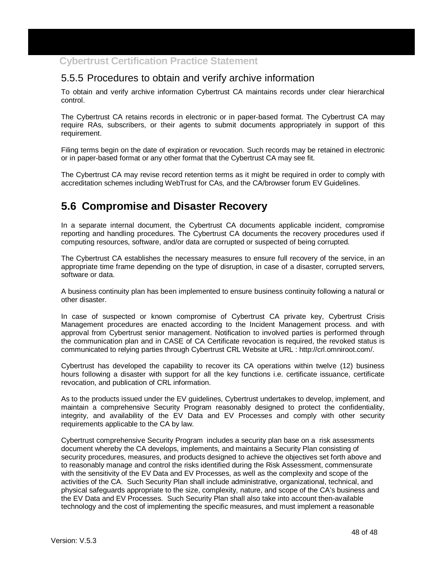### 5.5.5 Procedures to obtain and verify archive information

To obtain and verify archive information Cybertrust CA maintains records under clear hierarchical control.

The Cybertrust CA retains records in electronic or in paper-based format. The Cybertrust CA may require RAs, subscribers, or their agents to submit documents appropriately in support of this requirement.

Filing terms begin on the date of expiration or revocation. Such records may be retained in electronic or in paper-based format or any other format that the Cybertrust CA may see fit.

The Cybertrust CA may revise record retention terms as it might be required in order to comply with accreditation schemes including WebTrust for CAs, and the CA/browser forum EV Guidelines.

## **5.6 Compromise and Disaster Recovery**

In a separate internal document, the Cybertrust CA documents applicable incident, compromise reporting and handling procedures. The Cybertrust CA documents the recovery procedures used if computing resources, software, and/or data are corrupted or suspected of being corrupted.

The Cybertrust CA establishes the necessary measures to ensure full recovery of the service, in an appropriate time frame depending on the type of disruption, in case of a disaster, corrupted servers, software or data.

A business continuity plan has been implemented to ensure business continuity following a natural or other disaster.

In case of suspected or known compromise of Cybertrust CA private key, Cybertrust Crisis Management procedures are enacted according to the Incident Management process. and with approval from Cybertrust senior management. Notification to involved parties is performed through the communication plan and in CASE of CA Certificate revocation is required, the revoked status is communicated to relying parties through Cybertrust CRL Website at URL : http://crl.omniroot.com/.

Cybertrust has developed the capability to recover its CA operations within twelve (12) business hours following a disaster with support for all the key functions i.e. certificate issuance, certificate revocation, and publication of CRL information.

As to the products issued under the EV guidelines, Cybertrust undertakes to develop, implement, and maintain a comprehensive Security Program reasonably designed to protect the confidentiality, integrity, and availability of the EV Data and EV Processes and comply with other security requirements applicable to the CA by law.

Cybertrust comprehensive Security Program includes a security plan base on a risk assessments document whereby the CA develops, implements, and maintains a Security Plan consisting of security procedures, measures, and products designed to achieve the objectives set forth above and to reasonably manage and control the risks identified during the Risk Assessment, commensurate with the sensitivity of the EV Data and EV Processes, as well as the complexity and scope of the activities of the CA. Such Security Plan shall include administrative, organizational, technical, and physical safeguards appropriate to the size, complexity, nature, and scope of the CA's business and the EV Data and EV Processes. Such Security Plan shall also take into account then-available technology and the cost of implementing the specific measures, and must implement a reasonable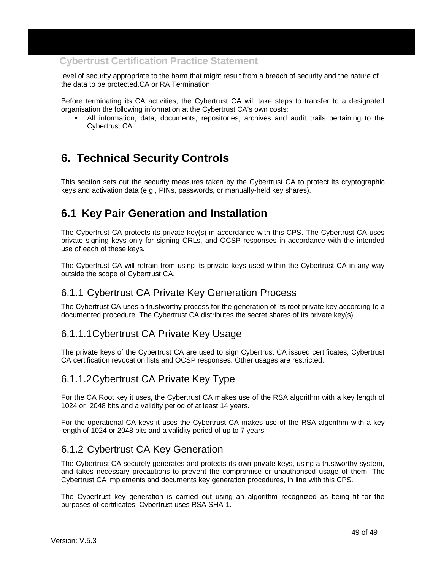level of security appropriate to the harm that might result from a breach of security and the nature of the data to be protected.CA or RA Termination

Before terminating its CA activities, the Cybertrust CA will take steps to transfer to a designated organisation the following information at the Cybertrust CA's own costs:

• All information, data, documents, repositories, archives and audit trails pertaining to the Cybertrust CA.

# **6. Technical Security Controls**

This section sets out the security measures taken by the Cybertrust CA to protect its cryptographic keys and activation data (e.g., PINs, passwords, or manually-held key shares).

## **6.1 Key Pair Generation and Installation**

The Cybertrust CA protects its private key(s) in accordance with this CPS. The Cybertrust CA uses private signing keys only for signing CRLs, and OCSP responses in accordance with the intended use of each of these keys.

The Cybertrust CA will refrain from using its private keys used within the Cybertrust CA in any way outside the scope of Cybertrust CA.

#### 6.1.1 Cybertrust CA Private Key Generation Process

The Cybertrust CA uses a trustworthy process for the generation of its root private key according to a documented procedure. The Cybertrust CA distributes the secret shares of its private key(s).

#### 6.1.1.1 Cybertrust CA Private Key Usage

The private keys of the Cybertrust CA are used to sign Cybertrust CA issued certificates, Cybertrust CA certification revocation lists and OCSP responses. Other usages are restricted.

#### 6.1.1.2 Cybertrust CA Private Key Type

For the CA Root key it uses, the Cybertrust CA makes use of the RSA algorithm with a key length of 1024 or 2048 bits and a validity period of at least 14 years.

For the operational CA keys it uses the Cybertrust CA makes use of the RSA algorithm with a key length of 1024 or 2048 bits and a validity period of up to 7 years.

#### 6.1.2 Cybertrust CA Key Generation

The Cybertrust CA securely generates and protects its own private keys, using a trustworthy system, and takes necessary precautions to prevent the compromise or unauthorised usage of them. The Cybertrust CA implements and documents key generation procedures, in line with this CPS.

The Cybertrust key generation is carried out using an algorithm recognized as being fit for the purposes of certificates. Cybertrust uses RSA SHA-1.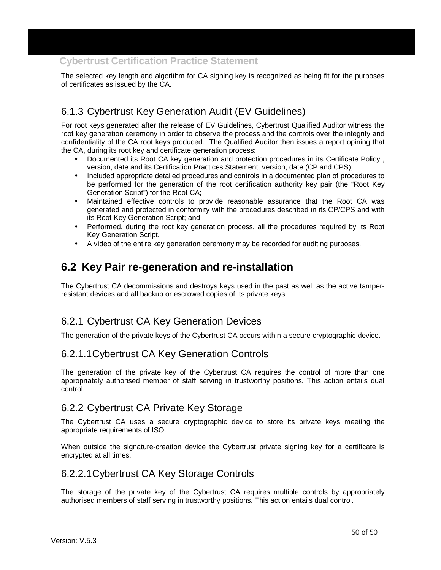The selected key length and algorithm for CA signing key is recognized as being fit for the purposes of certificates as issued by the CA.

## 6.1.3 Cybertrust Key Generation Audit (EV Guidelines)

For root keys generated after the release of EV Guidelines, Cybertrust Qualified Auditor witness the root key generation ceremony in order to observe the process and the controls over the integrity and confidentiality of the CA root keys produced. The Qualified Auditor then issues a report opining that the CA, during its root key and certificate generation process:

- Documented its Root CA key generation and protection procedures in its Certificate Policy , version, date and its Certification Practices Statement, version, date (CP and CPS);
- Included appropriate detailed procedures and controls in a documented plan of procedures to be performed for the generation of the root certification authority key pair (the "Root Key Generation Script") for the Root CA;
- Maintained effective controls to provide reasonable assurance that the Root CA was generated and protected in conformity with the procedures described in its CP/CPS and with its Root Key Generation Script; and
- Performed, during the root key generation process, all the procedures required by its Root Key Generation Script.
- A video of the entire key generation ceremony may be recorded for auditing purposes.

## **6.2 Key Pair re-generation and re-installation**

The Cybertrust CA decommissions and destroys keys used in the past as well as the active tamperresistant devices and all backup or escrowed copies of its private keys.

## 6.2.1 Cybertrust CA Key Generation Devices

The generation of the private keys of the Cybertrust CA occurs within a secure cryptographic device.

### 6.2.1.1 Cybertrust CA Key Generation Controls

The generation of the private key of the Cybertrust CA requires the control of more than one appropriately authorised member of staff serving in trustworthy positions. This action entails dual control.

#### 6.2.2 Cybertrust CA Private Key Storage

The Cybertrust CA uses a secure cryptographic device to store its private keys meeting the appropriate requirements of ISO.

When outside the signature-creation device the Cybertrust private signing key for a certificate is encrypted at all times.

### 6.2.2.1 Cybertrust CA Key Storage Controls

The storage of the private key of the Cybertrust CA requires multiple controls by appropriately authorised members of staff serving in trustworthy positions. This action entails dual control.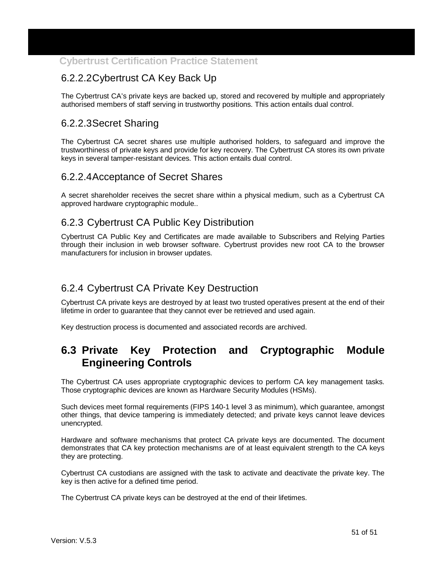## 6.2.2.2 Cybertrust CA Key Back Up

The Cybertrust CA's private keys are backed up, stored and recovered by multiple and appropriately authorised members of staff serving in trustworthy positions. This action entails dual control.

### 6.2.2.3 Secret Sharing

The Cybertrust CA secret shares use multiple authorised holders, to safeguard and improve the trustworthiness of private keys and provide for key recovery. The Cybertrust CA stores its own private keys in several tamper-resistant devices. This action entails dual control.

### 6.2.2.4 Acceptance of Secret Shares

A secret shareholder receives the secret share within a physical medium, such as a Cybertrust CA approved hardware cryptographic module..

### 6.2.3 Cybertrust CA Public Key Distribution

Cybertrust CA Public Key and Certificates are made available to Subscribers and Relying Parties through their inclusion in web browser software. Cybertrust provides new root CA to the browser manufacturers for inclusion in browser updates.

## 6.2.4 Cybertrust CA Private Key Destruction

Cybertrust CA private keys are destroyed by at least two trusted operatives present at the end of their lifetime in order to guarantee that they cannot ever be retrieved and used again.

Key destruction process is documented and associated records are archived.

## **6.3 Private Key Protection and Cryptographic Module Engineering Controls**

The Cybertrust CA uses appropriate cryptographic devices to perform CA key management tasks. Those cryptographic devices are known as Hardware Security Modules (HSMs).

Such devices meet formal requirements (FIPS 140-1 level 3 as minimum), which guarantee, amongst other things, that device tampering is immediately detected; and private keys cannot leave devices unencrypted.

Hardware and software mechanisms that protect CA private keys are documented. The document demonstrates that CA key protection mechanisms are of at least equivalent strength to the CA keys they are protecting.

Cybertrust CA custodians are assigned with the task to activate and deactivate the private key. The key is then active for a defined time period.

The Cybertrust CA private keys can be destroyed at the end of their lifetimes.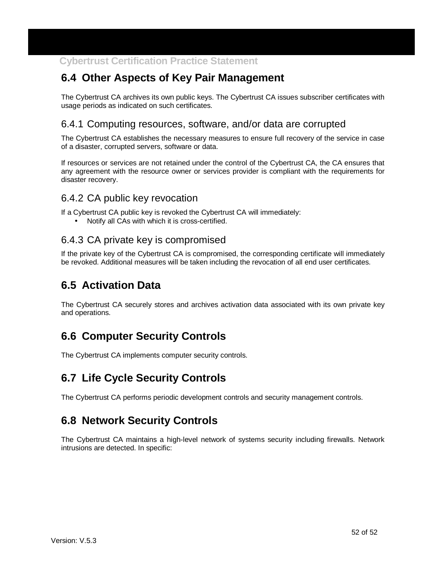## **6.4 Other Aspects of Key Pair Management**

The Cybertrust CA archives its own public keys. The Cybertrust CA issues subscriber certificates with usage periods as indicated on such certificates.

#### 6.4.1 Computing resources, software, and/or data are corrupted

The Cybertrust CA establishes the necessary measures to ensure full recovery of the service in case of a disaster, corrupted servers, software or data.

If resources or services are not retained under the control of the Cybertrust CA, the CA ensures that any agreement with the resource owner or services provider is compliant with the requirements for disaster recovery.

#### 6.4.2 CA public key revocation

If a Cybertrust CA public key is revoked the Cybertrust CA will immediately:

• Notify all CAs with which it is cross-certified.

#### 6.4.3 CA private key is compromised

If the private key of the Cybertrust CA is compromised, the corresponding certificate will immediately be revoked. Additional measures will be taken including the revocation of all end user certificates.

## **6.5 Activation Data**

The Cybertrust CA securely stores and archives activation data associated with its own private key and operations.

## **6.6 Computer Security Controls**

The Cybertrust CA implements computer security controls.

## **6.7 Life Cycle Security Controls**

The Cybertrust CA performs periodic development controls and security management controls.

## **6.8 Network Security Controls**

The Cybertrust CA maintains a high-level network of systems security including firewalls. Network intrusions are detected. In specific: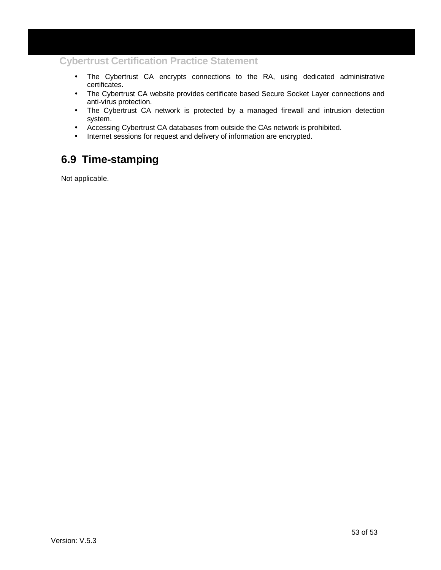- The Cybertrust CA encrypts connections to the RA, using dedicated administrative certificates.
- The Cybertrust CA website provides certificate based Secure Socket Layer connections and anti-virus protection.
- The Cybertrust CA network is protected by a managed firewall and intrusion detection system.
- Accessing Cybertrust CA databases from outside the CAs network is prohibited.
- Internet sessions for request and delivery of information are encrypted.

## **6.9 Time-stamping**

Not applicable.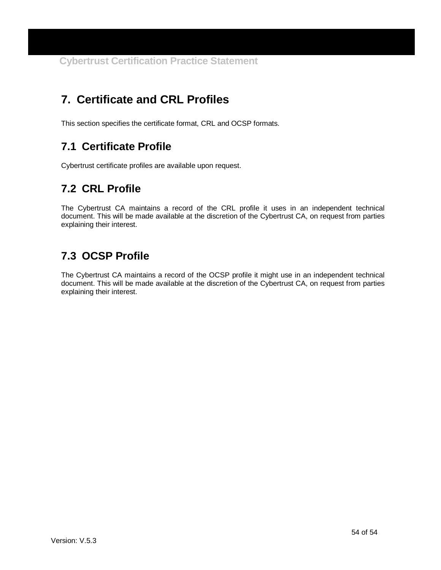# **7. Certificate and CRL Profiles**

This section specifies the certificate format, CRL and OCSP formats.

## **7.1 Certificate Profile**

Cybertrust certificate profiles are available upon request.

# **7.2 CRL Profile**

The Cybertrust CA maintains a record of the CRL profile it uses in an independent technical document. This will be made available at the discretion of the Cybertrust CA, on request from parties explaining their interest.

# **7.3 OCSP Profile**

The Cybertrust CA maintains a record of the OCSP profile it might use in an independent technical document. This will be made available at the discretion of the Cybertrust CA, on request from parties explaining their interest.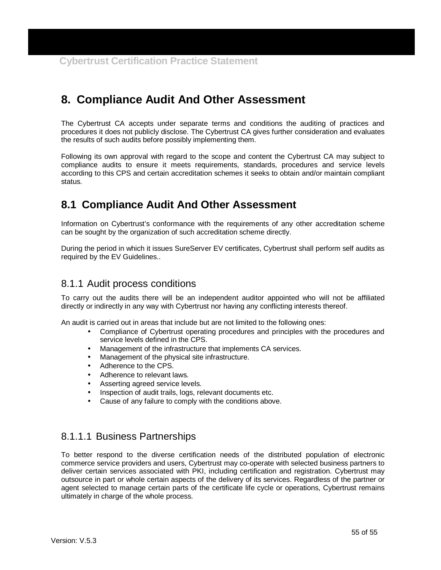## **8. Compliance Audit And Other Assessment**

The Cybertrust CA accepts under separate terms and conditions the auditing of practices and procedures it does not publicly disclose. The Cybertrust CA gives further consideration and evaluates the results of such audits before possibly implementing them.

Following its own approval with regard to the scope and content the Cybertrust CA may subject to compliance audits to ensure it meets requirements, standards, procedures and service levels according to this CPS and certain accreditation schemes it seeks to obtain and/or maintain compliant status.

## **8.1 Compliance Audit And Other Assessment**

Information on Cybertrust's conformance with the requirements of any other accreditation scheme can be sought by the organization of such accreditation scheme directly.

During the period in which it issues SureServer EV certificates, Cybertrust shall perform self audits as required by the EV Guidelines..

#### 8.1.1 Audit process conditions

To carry out the audits there will be an independent auditor appointed who will not be affiliated directly or indirectly in any way with Cybertrust nor having any conflicting interests thereof.

An audit is carried out in areas that include but are not limited to the following ones:

- Compliance of Cybertrust operating procedures and principles with the procedures and service levels defined in the CPS.
- Management of the infrastructure that implements CA services.
- Management of the physical site infrastructure.
- Adherence to the CPS.
- Adherence to relevant laws.
- Asserting agreed service levels.
- Inspection of audit trails, logs, relevant documents etc.
- Cause of any failure to comply with the conditions above.

### 8.1.1.1 Business Partnerships

To better respond to the diverse certification needs of the distributed population of electronic commerce service providers and users, Cybertrust may co-operate with selected business partners to deliver certain services associated with PKI, including certification and registration. Cybertrust may outsource in part or whole certain aspects of the delivery of its services. Regardless of the partner or agent selected to manage certain parts of the certificate life cycle or operations, Cybertrust remains ultimately in charge of the whole process.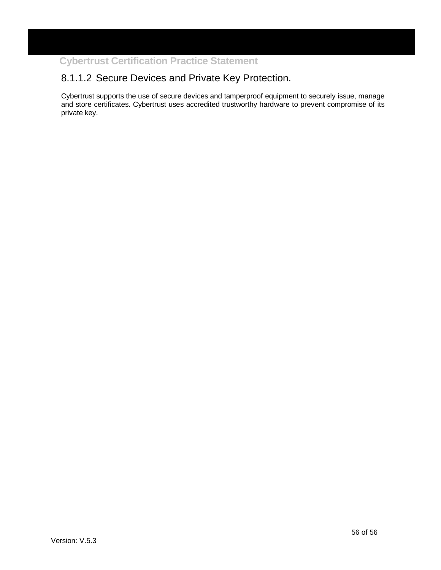## 8.1.1.2 Secure Devices and Private Key Protection.

Cybertrust supports the use of secure devices and tamperproof equipment to securely issue, manage and store certificates. Cybertrust uses accredited trustworthy hardware to prevent compromise of its private key.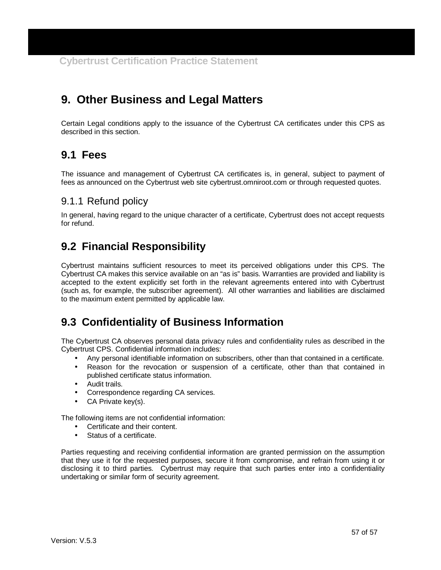## **9. Other Business and Legal Matters**

Certain Legal conditions apply to the issuance of the Cybertrust CA certificates under this CPS as described in this section.

## **9.1 Fees**

The issuance and management of Cybertrust CA certificates is, in general, subject to payment of fees as announced on the Cybertrust web site cybertrust.omniroot.com or through requested quotes.

#### 9.1.1 Refund policy

In general, having regard to the unique character of a certificate, Cybertrust does not accept requests for refund.

## **9.2 Financial Responsibility**

Cybertrust maintains sufficient resources to meet its perceived obligations under this CPS. The Cybertrust CA makes this service available on an "as is" basis. Warranties are provided and liability is accepted to the extent explicitly set forth in the relevant agreements entered into with Cybertrust (such as, for example, the subscriber agreement). All other warranties and liabilities are disclaimed to the maximum extent permitted by applicable law.

## **9.3 Confidentiality of Business Information**

The Cybertrust CA observes personal data privacy rules and confidentiality rules as described in the Cybertrust CPS. Confidential information includes:

- Any personal identifiable information on subscribers, other than that contained in a certificate.
- Reason for the revocation or suspension of a certificate, other than that contained in published certificate status information.
- Audit trails.
- Correspondence regarding CA services.
- CA Private key(s).

The following items are not confidential information:

- Certificate and their content.
- Status of a certificate.

Parties requesting and receiving confidential information are granted permission on the assumption that they use it for the requested purposes, secure it from compromise, and refrain from using it or disclosing it to third parties. Cybertrust may require that such parties enter into a confidentiality undertaking or similar form of security agreement.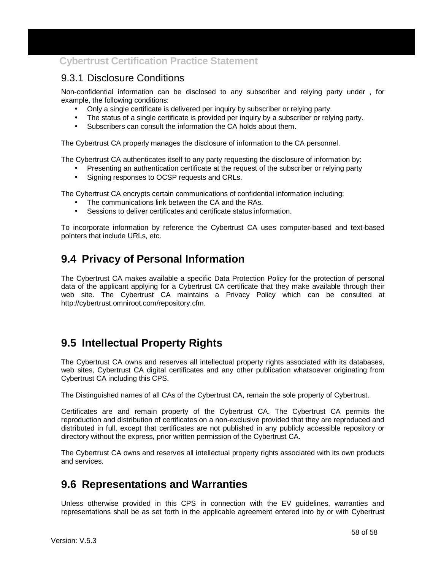#### 9.3.1 Disclosure Conditions

Non-confidential information can be disclosed to any subscriber and relying party under , for example, the following conditions:

- Only a single certificate is delivered per inquiry by subscriber or relying party.
- The status of a single certificate is provided per inquiry by a subscriber or relying party.
- Subscribers can consult the information the CA holds about them.

The Cybertrust CA properly manages the disclosure of information to the CA personnel.

The Cybertrust CA authenticates itself to any party requesting the disclosure of information by:

- Presenting an authentication certificate at the request of the subscriber or relying party
- Signing responses to OCSP requests and CRLs.

The Cybertrust CA encrypts certain communications of confidential information including:

- The communications link between the CA and the RAs.
- Sessions to deliver certificates and certificate status information.

To incorporate information by reference the Cybertrust CA uses computer-based and text-based pointers that include URLs, etc.

## **9.4 Privacy of Personal Information**

The Cybertrust CA makes available a specific Data Protection Policy for the protection of personal data of the applicant applying for a Cybertrust CA certificate that they make available through their web site. The Cybertrust CA maintains a Privacy Policy which can be consulted at http://cybertrust.omniroot.com/repository.cfm.

## **9.5 Intellectual Property Rights**

The Cybertrust CA owns and reserves all intellectual property rights associated with its databases, web sites, Cybertrust CA digital certificates and any other publication whatsoever originating from Cybertrust CA including this CPS.

The Distinguished names of all CAs of the Cybertrust CA, remain the sole property of Cybertrust.

Certificates are and remain property of the Cybertrust CA. The Cybertrust CA permits the reproduction and distribution of certificates on a non-exclusive provided that they are reproduced and distributed in full, except that certificates are not published in any publicly accessible repository or directory without the express, prior written permission of the Cybertrust CA.

The Cybertrust CA owns and reserves all intellectual property rights associated with its own products and services.

# **9.6 Representations and Warranties**

Unless otherwise provided in this CPS in connection with the EV guidelines, warranties and representations shall be as set forth in the applicable agreement entered into by or with Cybertrust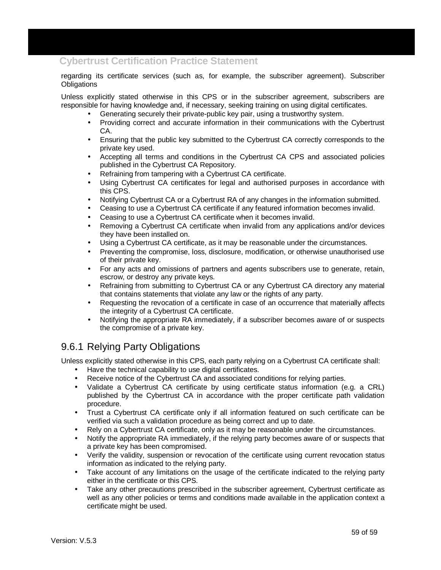regarding its certificate services (such as, for example, the subscriber agreement). Subscriber **Obligations** 

Unless explicitly stated otherwise in this CPS or in the subscriber agreement, subscribers are responsible for having knowledge and, if necessary, seeking training on using digital certificates.

- Generating securely their private-public key pair, using a trustworthy system.
- Providing correct and accurate information in their communications with the Cybertrust CA.
- Ensuring that the public key submitted to the Cybertrust CA correctly corresponds to the private key used.
- Accepting all terms and conditions in the Cybertrust CA CPS and associated policies published in the Cybertrust CA Repository.
- Refraining from tampering with a Cybertrust CA certificate.
- Using Cybertrust CA certificates for legal and authorised purposes in accordance with this CPS.
- Notifying Cybertrust CA or a Cybertrust RA of any changes in the information submitted.
- Ceasing to use a Cybertrust CA certificate if any featured information becomes invalid.
- Ceasing to use a Cybertrust CA certificate when it becomes invalid.
- Removing a Cybertrust CA certificate when invalid from any applications and/or devices they have been installed on.
- Using a Cybertrust CA certificate, as it may be reasonable under the circumstances.
- Preventing the compromise, loss, disclosure, modification, or otherwise unauthorised use of their private key.
- For any acts and omissions of partners and agents subscribers use to generate, retain, escrow, or destroy any private keys.
- Refraining from submitting to Cybertrust CA or any Cybertrust CA directory any material that contains statements that violate any law or the rights of any party.
- Requesting the revocation of a certificate in case of an occurrence that materially affects the integrity of a Cybertrust CA certificate.
- Notifying the appropriate RA immediately, if a subscriber becomes aware of or suspects the compromise of a private key.

## 9.6.1 Relying Party Obligations

Unless explicitly stated otherwise in this CPS, each party relying on a Cybertrust CA certificate shall:

- Have the technical capability to use digital certificates.
- Receive notice of the Cybertrust CA and associated conditions for relying parties.
- Validate a Cybertrust CA certificate by using certificate status information (e.g. a CRL) published by the Cybertrust CA in accordance with the proper certificate path validation procedure.
- Trust a Cybertrust CA certificate only if all information featured on such certificate can be verified via such a validation procedure as being correct and up to date.
- Rely on a Cybertrust CA certificate, only as it may be reasonable under the circumstances.
- Notify the appropriate RA immediately, if the relying party becomes aware of or suspects that a private key has been compromised.
- Verify the validity, suspension or revocation of the certificate using current revocation status information as indicated to the relying party.
- Take account of any limitations on the usage of the certificate indicated to the relying party either in the certificate or this CPS.
- Take any other precautions prescribed in the subscriber agreement, Cybertrust certificate as well as any other policies or terms and conditions made available in the application context a certificate might be used.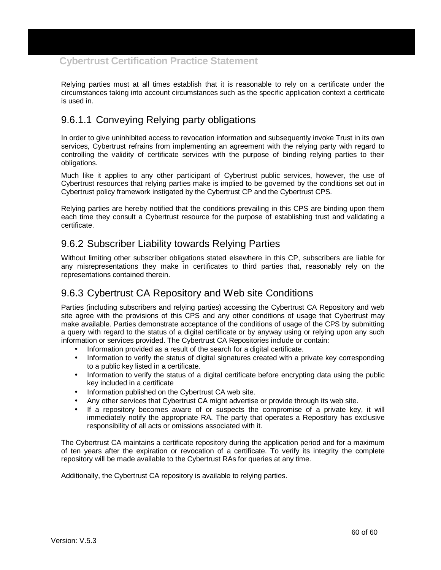Relying parties must at all times establish that it is reasonable to rely on a certificate under the circumstances taking into account circumstances such as the specific application context a certificate is used in.

## 9.6.1.1 Conveying Relying party obligations

In order to give uninhibited access to revocation information and subsequently invoke Trust in its own services, Cybertrust refrains from implementing an agreement with the relying party with regard to controlling the validity of certificate services with the purpose of binding relying parties to their obligations.

Much like it applies to any other participant of Cybertrust public services, however, the use of Cybertrust resources that relying parties make is implied to be governed by the conditions set out in Cybertrust policy framework instigated by the Cybertrust CP and the Cybertrust CPS.

Relying parties are hereby notified that the conditions prevailing in this CPS are binding upon them each time they consult a Cybertrust resource for the purpose of establishing trust and validating a certificate.

### 9.6.2 Subscriber Liability towards Relying Parties

Without limiting other subscriber obligations stated elsewhere in this CP, subscribers are liable for any misrepresentations they make in certificates to third parties that, reasonably rely on the representations contained therein.

## 9.6.3 Cybertrust CA Repository and Web site Conditions

Parties (including subscribers and relying parties) accessing the Cybertrust CA Repository and web site agree with the provisions of this CPS and any other conditions of usage that Cybertrust may make available. Parties demonstrate acceptance of the conditions of usage of the CPS by submitting a query with regard to the status of a digital certificate or by anyway using or relying upon any such information or services provided. The Cybertrust CA Repositories include or contain:

- Information provided as a result of the search for a digital certificate.
- Information to verify the status of digital signatures created with a private key corresponding to a public key listed in a certificate.
- Information to verify the status of a digital certificate before encrypting data using the public key included in a certificate
- Information published on the Cybertrust CA web site.
- Any other services that Cybertrust CA might advertise or provide through its web site.
- If a repository becomes aware of or suspects the compromise of a private key, it will immediately notify the appropriate RA. The party that operates a Repository has exclusive responsibility of all acts or omissions associated with it.

The Cybertrust CA maintains a certificate repository during the application period and for a maximum of ten years after the expiration or revocation of a certificate. To verify its integrity the complete repository will be made available to the Cybertrust RAs for queries at any time.

Additionally, the Cybertrust CA repository is available to relying parties.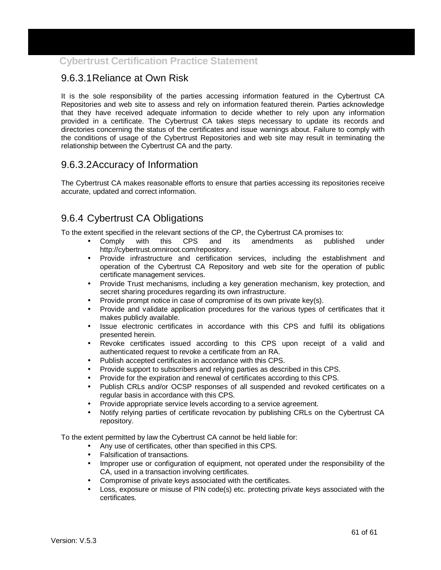## 9.6.3.1 Reliance at Own Risk

It is the sole responsibility of the parties accessing information featured in the Cybertrust CA Repositories and web site to assess and rely on information featured therein. Parties acknowledge that they have received adequate information to decide whether to rely upon any information provided in a certificate. The Cybertrust CA takes steps necessary to update its records and directories concerning the status of the certificates and issue warnings about. Failure to comply with the conditions of usage of the Cybertrust Repositories and web site may result in terminating the relationship between the Cybertrust CA and the party.

## 9.6.3.2 Accuracy of Information

The Cybertrust CA makes reasonable efforts to ensure that parties accessing its repositories receive accurate, updated and correct information.

## 9.6.4 Cybertrust CA Obligations

To the extent specified in the relevant sections of the CP, the Cybertrust CA promises to:

- Comply with this CPS and its amendments as published under http://cybertrust.omniroot.com/repository.
- Provide infrastructure and certification services, including the establishment and operation of the Cybertrust CA Repository and web site for the operation of public certificate management services.
- Provide Trust mechanisms, including a key generation mechanism, key protection, and secret sharing procedures regarding its own infrastructure.
- Provide prompt notice in case of compromise of its own private key(s).
- Provide and validate application procedures for the various types of certificates that it makes publicly available.
- Issue electronic certificates in accordance with this CPS and fulfil its obligations presented herein.
- Revoke certificates issued according to this CPS upon receipt of a valid and authenticated request to revoke a certificate from an RA.
- Publish accepted certificates in accordance with this CPS.
- Provide support to subscribers and relying parties as described in this CPS.
- Provide for the expiration and renewal of certificates according to this CPS.
- Publish CRLs and/or OCSP responses of all suspended and revoked certificates on a regular basis in accordance with this CPS.
- Provide appropriate service levels according to a service agreement.
- Notify relying parties of certificate revocation by publishing CRLs on the Cybertrust CA repository.

To the extent permitted by law the Cybertrust CA cannot be held liable for:

- Any use of certificates, other than specified in this CPS.
- Falsification of transactions.
- Improper use or configuration of equipment, not operated under the responsibility of the CA, used in a transaction involving certificates.
- Compromise of private keys associated with the certificates.
- Loss, exposure or misuse of PIN code(s) etc. protecting private keys associated with the certificates.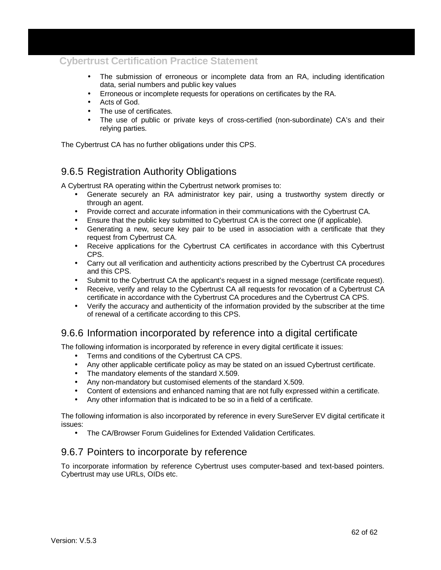- The submission of erroneous or incomplete data from an RA, including identification data, serial numbers and public key values
- Erroneous or incomplete requests for operations on certificates by the RA.
- Acts of God.
- The use of certificates.
- The use of public or private keys of cross-certified (non-subordinate) CA's and their relying parties.

The Cybertrust CA has no further obligations under this CPS.

## 9.6.5 Registration Authority Obligations

A Cybertrust RA operating within the Cybertrust network promises to:

- Generate securely an RA administrator key pair, using a trustworthy system directly or through an agent.
- Provide correct and accurate information in their communications with the Cybertrust CA.
- Ensure that the public key submitted to Cybertrust CA is the correct one (if applicable).
- Generating a new, secure key pair to be used in association with a certificate that they request from Cybertrust CA.
- Receive applications for the Cybertrust CA certificates in accordance with this Cybertrust CPS.
- Carry out all verification and authenticity actions prescribed by the Cybertrust CA procedures and this CPS.
- Submit to the Cybertrust CA the applicant's request in a signed message (certificate request).
- Receive, verify and relay to the Cybertrust CA all requests for revocation of a Cybertrust CA certificate in accordance with the Cybertrust CA procedures and the Cybertrust CA CPS.
- Verify the accuracy and authenticity of the information provided by the subscriber at the time of renewal of a certificate according to this CPS.

### 9.6.6 Information incorporated by reference into a digital certificate

The following information is incorporated by reference in every digital certificate it issues:

- Terms and conditions of the Cybertrust CA CPS.
- Any other applicable certificate policy as may be stated on an issued Cybertrust certificate.
- The mandatory elements of the standard X.509.
- Any non-mandatory but customised elements of the standard X.509.
- Content of extensions and enhanced naming that are not fully expressed within a certificate.
- Any other information that is indicated to be so in a field of a certificate.

The following information is also incorporated by reference in every SureServer EV digital certificate it issues:

• The CA/Browser Forum Guidelines for Extended Validation Certificates.

### 9.6.7 Pointers to incorporate by reference

To incorporate information by reference Cybertrust uses computer-based and text-based pointers. Cybertrust may use URLs, OIDs etc.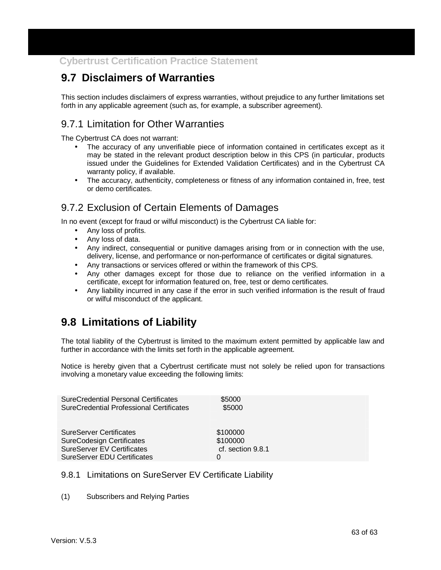# **9.7 Disclaimers of Warranties**

This section includes disclaimers of express warranties, without prejudice to any further limitations set forth in any applicable agreement (such as, for example, a subscriber agreement).

## 9.7.1 Limitation for Other Warranties

The Cybertrust CA does not warrant:

- The accuracy of any unverifiable piece of information contained in certificates except as it may be stated in the relevant product description below in this CPS (in particular, products issued under the Guidelines for Extended Validation Certificates) and in the Cybertrust CA warranty policy, if available.
- The accuracy, authenticity, completeness or fitness of any information contained in, free, test or demo certificates.

### 9.7.2 Exclusion of Certain Elements of Damages

In no event (except for fraud or wilful misconduct) is the Cybertrust CA liable for:

- Any loss of profits.
- Any loss of data.
- Any indirect, consequential or punitive damages arising from or in connection with the use, delivery, license, and performance or non-performance of certificates or digital signatures.
- Any transactions or services offered or within the framework of this CPS.
- Any other damages except for those due to reliance on the verified information in a certificate, except for information featured on, free, test or demo certificates.
- Any liability incurred in any case if the error in such verified information is the result of fraud or wilful misconduct of the applicant.

## **9.8 Limitations of Liability**

The total liability of the Cybertrust is limited to the maximum extent permitted by applicable law and further in accordance with the limits set forth in the applicable agreement.

Notice is hereby given that a Cybertrust certificate must not solely be relied upon for transactions involving a monetary value exceeding the following limits:

| <b>SureCredential Personal Certificates</b> | \$5000            |
|---------------------------------------------|-------------------|
| SureCredential Professional Certificates    | \$5000            |
| <b>SureServer Certificates</b>              | \$100000          |
| <b>SureCodesign Certificates</b>            | \$100000          |
| <b>SureServer EV Certificates</b>           | cf. section 9.8.1 |
| <b>SureServer EDU Certificates</b>          | 0                 |

#### 9.8.1 Limitations on SureServer EV Certificate Liability

(1) Subscribers and Relying Parties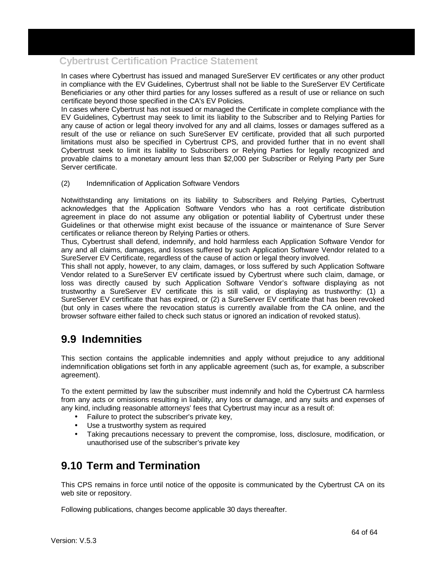In cases where Cybertrust has issued and managed SureServer EV certificates or any other product in compliance with the EV Guidelines, Cybertrust shall not be liable to the SureServer EV Certificate Beneficiaries or any other third parties for any losses suffered as a result of use or reliance on such certificate beyond those specified in the CA's EV Policies.

In cases where Cybertrust has not issued or managed the Certificate in complete compliance with the EV Guidelines, Cybertrust may seek to limit its liability to the Subscriber and to Relying Parties for any cause of action or legal theory involved for any and all claims, losses or damages suffered as a result of the use or reliance on such SureServer EV certificate, provided that all such purported limitations must also be specified in Cybertrust CPS, and provided further that in no event shall Cybertrust seek to limit its liability to Subscribers or Relying Parties for legally recognized and provable claims to a monetary amount less than \$2,000 per Subscriber or Relying Party per Sure Server certificate.

(2) Indemnification of Application Software Vendors

Notwithstanding any limitations on its liability to Subscribers and Relying Parties, Cybertrust acknowledges that the Application Software Vendors who has a root certificate distribution agreement in place do not assume any obligation or potential liability of Cybertrust under these Guidelines or that otherwise might exist because of the issuance or maintenance of Sure Server certificates or reliance thereon by Relying Parties or others.

Thus, Cybertrust shall defend, indemnify, and hold harmless each Application Software Vendor for any and all claims, damages, and losses suffered by such Application Software Vendor related to a SureServer EV Certificate, regardless of the cause of action or legal theory involved.

This shall not apply, however, to any claim, damages, or loss suffered by such Application Software Vendor related to a SureServer EV certificate issued by Cybertrust where such claim, damage, or loss was directly caused by such Application Software Vendor's software displaying as not trustworthy a SureServer EV certificate this is still valid, or displaying as trustworthy: (1) a SureServer EV certificate that has expired, or (2) a SureServer EV certificate that has been revoked (but only in cases where the revocation status is currently available from the CA online, and the browser software either failed to check such status or ignored an indication of revoked status).

## **9.9 Indemnities**

This section contains the applicable indemnities and apply without prejudice to any additional indemnification obligations set forth in any applicable agreement (such as, for example, a subscriber agreement).

To the extent permitted by law the subscriber must indemnify and hold the Cybertrust CA harmless from any acts or omissions resulting in liability, any loss or damage, and any suits and expenses of any kind, including reasonable attorneys' fees that Cybertrust may incur as a result of:

- Failure to protect the subscriber's private key,
- Use a trustworthy system as required
- Taking precautions necessary to prevent the compromise, loss, disclosure, modification, or unauthorised use of the subscriber's private key

## **9.10 Term and Termination**

This CPS remains in force until notice of the opposite is communicated by the Cybertrust CA on its web site or repository.

Following publications, changes become applicable 30 days thereafter.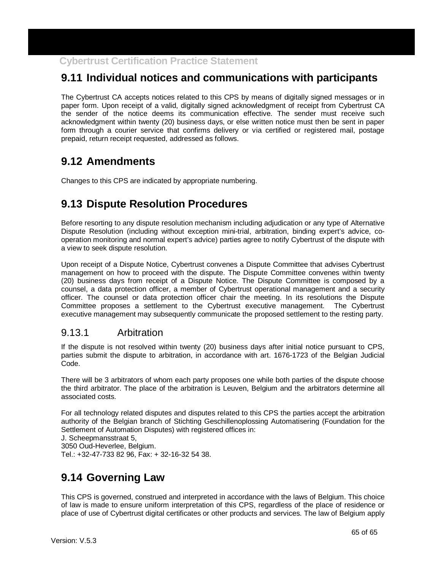# **9.11 Individual notices and communications with participants**

The Cybertrust CA accepts notices related to this CPS by means of digitally signed messages or in paper form. Upon receipt of a valid, digitally signed acknowledgment of receipt from Cybertrust CA the sender of the notice deems its communication effective. The sender must receive such acknowledgment within twenty (20) business days, or else written notice must then be sent in paper form through a courier service that confirms delivery or via certified or registered mail, postage prepaid, return receipt requested, addressed as follows.

## **9.12 Amendments**

Changes to this CPS are indicated by appropriate numbering.

## **9.13 Dispute Resolution Procedures**

Before resorting to any dispute resolution mechanism including adjudication or any type of Alternative Dispute Resolution (including without exception mini-trial, arbitration, binding expert's advice, cooperation monitoring and normal expert's advice) parties agree to notify Cybertrust of the dispute with a view to seek dispute resolution.

Upon receipt of a Dispute Notice, Cybertrust convenes a Dispute Committee that advises Cybertrust management on how to proceed with the dispute. The Dispute Committee convenes within twenty (20) business days from receipt of a Dispute Notice. The Dispute Committee is composed by a counsel, a data protection officer, a member of Cybertrust operational management and a security officer. The counsel or data protection officer chair the meeting. In its resolutions the Dispute Committee proposes a settlement to the Cybertrust executive management. The Cybertrust executive management may subsequently communicate the proposed settlement to the resting party.

#### 9.13.1 Arbitration

If the dispute is not resolved within twenty (20) business days after initial notice pursuant to CPS, parties submit the dispute to arbitration, in accordance with art. 1676-1723 of the Belgian Judicial Code.

There will be 3 arbitrators of whom each party proposes one while both parties of the dispute choose the third arbitrator. The place of the arbitration is Leuven, Belgium and the arbitrators determine all associated costs.

For all technology related disputes and disputes related to this CPS the parties accept the arbitration authority of the Belgian branch of Stichting Geschillenoplossing Automatisering (Foundation for the Settlement of Automation Disputes) with registered offices in:

J. Scheepmansstraat 5,

3050 Oud-Heverlee, Belgium.

Tel.: +32-47-733 82 96, Fax: + 32-16-32 54 38.

# **9.14 Governing Law**

This CPS is governed, construed and interpreted in accordance with the laws of Belgium. This choice of law is made to ensure uniform interpretation of this CPS, regardless of the place of residence or place of use of Cybertrust digital certificates or other products and services. The law of Belgium apply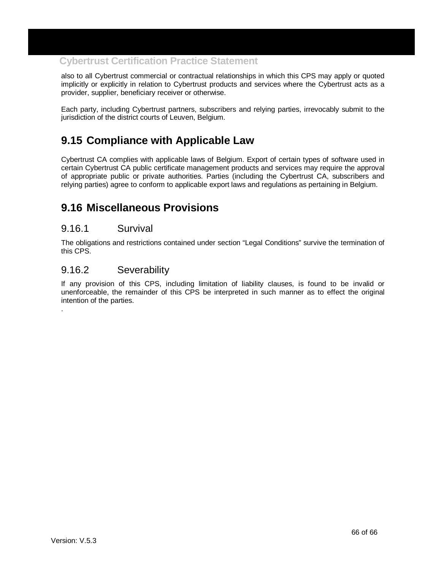also to all Cybertrust commercial or contractual relationships in which this CPS may apply or quoted implicitly or explicitly in relation to Cybertrust products and services where the Cybertrust acts as a provider, supplier, beneficiary receiver or otherwise.

Each party, including Cybertrust partners, subscribers and relying parties, irrevocably submit to the jurisdiction of the district courts of Leuven, Belgium.

## **9.15 Compliance with Applicable Law**

Cybertrust CA complies with applicable laws of Belgium. Export of certain types of software used in certain Cybertrust CA public certificate management products and services may require the approval of appropriate public or private authorities. Parties (including the Cybertrust CA, subscribers and relying parties) agree to conform to applicable export laws and regulations as pertaining in Belgium.

## **9.16 Miscellaneous Provisions**

#### 9.16.1 Survival

The obligations and restrictions contained under section "Legal Conditions" survive the termination of this CPS.

#### 9.16.2 Severability

If any provision of this CPS, including limitation of liability clauses, is found to be invalid or unenforceable, the remainder of this CPS be interpreted in such manner as to effect the original intention of the parties.

.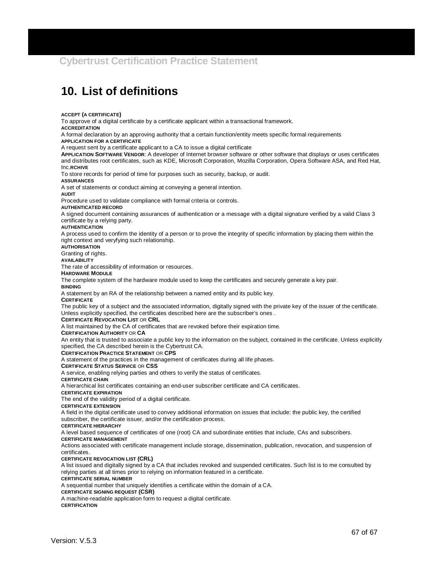# **10. List of definitions**

**ACCEPT (A CERTIFICATE)**

To approve of a digital certificate by a certificate applicant within a transactional framework.

**ACCREDITATION**

A formal declaration by an approving authority that a certain function/entity meets specific formal requirements

**APPLICATION FOR A CERTIFICATE**

A request sent by a certificate applicant to a CA to issue a digital certificate

**APPLICATION SOFTWARE VENDOR**: A developer of Internet browser software or other software that displays or uses certificates and distributes root certificates, such as KDE, Microsoft Corporation, Mozilla Corporation, Opera Software ASA, and Red Hat, Inc.**RCHIVE**

To store records for period of time for purposes such as security, backup, or audit.

**ASSURANCES**

A set of statements or conduct aiming at conveying a general intention.

**AUDIT**

Procedure used to validate compliance with formal criteria or controls.

### **AUTHENTICATED RECORD**

A signed document containing assurances of authentication or a message with a digital signature verified by a valid Class 3 certificate by a relying party.

### **AUTHENTICATION**

A process used to confirm the identity of a person or to prove the integrity of specific information by placing them within the right context and veryfying such relationship.

## **AUTHORISATION**

Granting of rights.

**AVAILABILITY**

The rate of accessibility of information or resources.

### **HARDWARE MODULE**

The complete system of the hardware module used to keep the certificates and securely generate a key pair.

### **BINDING**

A statement by an RA of the relationship between a named entity and its public key.

### **CERTIFICATE**

The public key of a subject and the associated information, digitally signed with the private key of the issuer of the certificate. Unless explicitly specified, the certificates described here are the subscriber's ones .

### **CERTIFICATE REVOCATION LIST** OR **CRL**

A list maintained by the CA of certificates that are revoked before their expiration time.

### **CERTIFICATION AUTHORITY** OR **CA**

An entity that is trusted to associate a public key to the information on the subject, contained in the certificate. Unless explicitly specified, the CA described herein is the Cybertrust CA.

### **CERTIFICATION PRACTICE STATEMENT** OR **CPS**

A statement of the practices in the management of certificates during all life phases.

### **CERTIFICATE STATUS SERVICE** OR **CSS**

A service, enabling relying parties and others to verify the status of certificates.

### **CERTIFICATE CHAIN**

A hierarchical list certificates containing an end-user subscriber certificate and CA certificates.

### **CERTIFICATE EXPIRATION**

The end of the validity period of a digital certificate.

### **CERTIFICATE EXTENSION**

A field in the digital certificate used to convey additional information on issues that include: the public key, the certified subscriber, the certificate issuer, and/or the certification process.

## **CERTIFICATE HIERARCHY**

A level based sequence of certificates of one (root) CA and subordinate entities that include, CAs and subscribers.

## **CERTIFICATE MANAGEMENT**

Actions associated with certificate management include storage, dissemination, publication, revocation, and suspension of certificates.

## **CERTIFICATE REVOCATION LIST (CRL)**

A list issued and digitally signed by a CA that includes revoked and suspended certificates. Such list is to me consulted by relying parties at all times prior to relying on information featured in a certificate.

## **CERTIFICATE SERIAL NUMBER**

A sequential number that uniquely identifies a certificate within the domain of a CA.

### **CERTIFICATE SIGNING REQUEST (CSR)**

A machine-readable application form to request a digital certificate.

## **CERTIFICATION**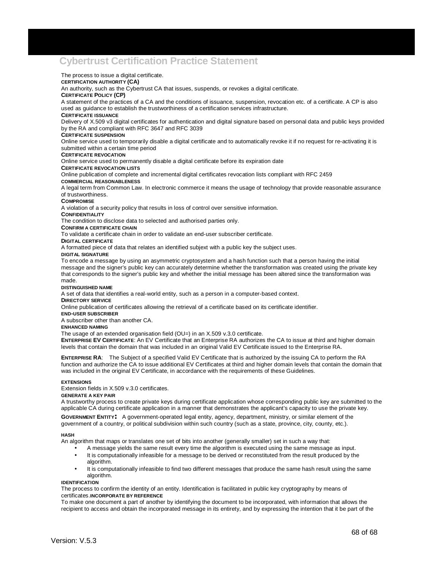## **Cybertrust Certification Practice Statement**

The process to issue a digital certificate.

### **CERTIFICATION AUTHORITY (CA)**

An authority, such as the Cybertrust CA that issues, suspends, or revokes a digital certificate.

### **CERTIFICATE POLICY (CP)**

A statement of the practices of a CA and the conditions of issuance, suspension, revocation etc. of a certificate. A CP is also used as guidance to establish the trustworthiness of a certification services infrastructure.

### **CERTIFICATE ISSUANCE**

Delivery of X.509 v3 digital certificates for authentication and digital signature based on personal data and public keys provided by the RA and compliant with RFC 3647 and RFC 3039

### **CERTIFICATE SUSPENSION**

Online service used to temporarily disable a digital certificate and to automatically revoke it if no request for re-activating it is submitted within a certain time period

### **CERTIFICATE REVOCATION**

Online service used to permanently disable a digital certificate before its expiration date

### **CERTIFICATE REVOCATION LISTS**

Online publication of complete and incremental digital certificates revocation lists compliant with RFC 2459

### **COMMERCIAL REASONABLENESS**

A legal term from Common Law. In electronic commerce it means the usage of technology that provide reasonable assurance of trustworthiness.

### **COMPROMISE**

A violation of a security policy that results in loss of control over sensitive information.

### **CONFIDENTIALITY**

The condition to disclose data to selected and authorised parties only.

#### **CONFIRM A CERTIFICATE CHAIN**

To validate a certificate chain in order to validate an end-user subscriber certificate.

### **DIGITAL CERTIFICATE**

A formatted piece of data that relates an identified subjext with a public key the subject uses.

### **DIGITAL SIGNATURE**

To encode a message by using an asymmetric cryptosystem and a hash function such that a person having the initial message and the signer's public key can accurately determine whether the transformation was created using the private key that corresponds to the signer's public key and whether the initial message has been altered since the transformation was made.

### **DISTINGUISHED NAME**

A set of data that identifies a real-world entity, such as a person in a computer-based context.

### **DIRECTORY SERVICE**

Online publication of certificates allowing the retrieval of a certificate based on its certificate identifier.

### **END-USER SUBSCRIBER**

A subscriber other than another CA.

### **ENHANCED NAMING**

The usage of an extended organisation field (OU=) in an X.509 v.3.0 certificate.

**ENTERPRISE EV CERTIFICATE**: An EV Certificate that an Enterprise RA authorizes the CA to issue at third and higher domain levels that contain the domain that was included in an original Valid EV Certificate issued to the Enterprise RA.

**ENTERPRISE RA**: The Subject of a specified Valid EV Certificate that is authorized by the issuing CA to perform the RA function and authorize the CA to issue additional EV Certificates at third and higher domain levels that contain the domain that was included in the original EV Certificate, in accordance with the requirements of these Guidelines.

### **EXTENSIONS**

Extension fields in X.509 v.3.0 certificates.

### **GENERATE A KEY PAIR**

A trustworthy process to create private keys during certificate application whose corresponding public key are submitted to the applicable CA during certificate application in a manner that demonstrates the applicant's capacity to use the private key.

**GOVERNMENT ENTITY**: A government-operated legal entity, agency, department, ministry, or similar element of the government of a country, or political subdivision within such country (such as a state, province, city, county, etc.).

### **HASH**

An algorithm that maps or translates one set of bits into another (generally smaller) set in such a way that:

- A message yields the same result every time the algorithm is executed using the same message as input.
- It is computationally infeasible for a message to be derived or reconstituted from the result produced by the algorithm.
- It is computationally infeasible to find two different messages that produce the same hash result using the same algorithm.

### **IDENTIFICATION**

The process to confirm the identity of an entity. Identification is facilitated in public key cryptography by means of certificates.**INCORPORATE BY REFERENCE**

To make one document a part of another by identifying the document to be incorporated, with information that allows the recipient to access and obtain the incorporated message in its entirety, and by expressing the intention that it be part of the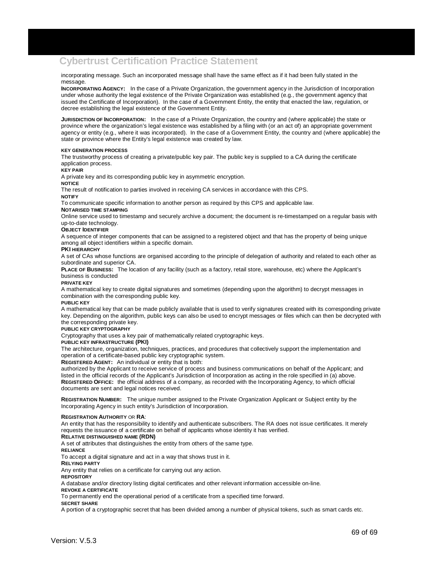## **Cybertrust Certification Practice Statement**

incorporating message. Such an incorporated message shall have the same effect as if it had been fully stated in the message.

**INCORPORATING AGENCY:** In the case of a Private Organization, the government agency in the Jurisdiction of Incorporation under whose authority the legal existence of the Private Organization was established (e.g., the government agency that issued the Certificate of Incorporation). In the case of a Government Entity, the entity that enacted the law, regulation, or decree establishing the legal existence of the Government Entity.

**JURISDICTION OF INCORPORATION:** In the case of a Private Organization, the country and (where applicable) the state or province where the organization's legal existence was established by a filing with (or an act of) an appropriate government agency or entity (e.g., where it was incorporated). In the case of a Government Entity, the country and (where applicable) the state or province where the Entity's legal existence was created by law.

### **KEY GENERATION PROCESS**

The trustworthy process of creating a private/public key pair. The public key is supplied to a CA during the certificate application process.

### **KEY PAIR**

A private key and its corresponding public key in asymmetric encryption.

## **NOTICE**

The result of notification to parties involved in receiving CA services in accordance with this CPS.

**NOTIFY**

To communicate specific information to another person as required by this CPS and applicable law.

## **NOTARISED TIME STAMPING**

Online service used to timestamp and securely archive a document; the document is re-timestamped on a regular basis with up-to-date technology.

### **OBJECT IDENTIFIER**

A sequence of integer components that can be assigned to a registered object and that has the property of being unique among all object identifiers within a specific domain.

## **PKI HIERARCHY**

A set of CAs whose functions are organised according to the principle of delegation of authority and related to each other as subordinate and superior CA.

**PLACE OF BUSINESS:** The location of any facility (such as a factory, retail store, warehouse, etc) where the Applicant's business is conducted

### **PRIVATE KEY**

A mathematical key to create digital signatures and sometimes (depending upon the algorithm) to decrypt messages in combination with the corresponding public key.

### **PUBLIC KEY**

A mathematical key that can be made publicly available that is used to verify signatures created with its corresponding private key. Depending on the algorithm, public keys can also be used to encrypt messages or files which can then be decrypted with the corresponding private key.

### **PUBLIC KEY CRYPTOGRAPHY**

Cryptography that uses a key pair of mathematically related cryptographic keys.

### **PUBLIC KEY INFRASTRUCTURE (PKI)**

The architecture, organization, techniques, practices, and procedures that collectively support the implementation and operation of a certificate-based public key cryptographic system.

**REGISTERED AGENT:** An individual or entity that is both:

authorized by the Applicant to receive service of process and business communications on behalf of the Applicant; and listed in the official records of the Applicant's Jurisdiction of Incorporation as acting in the role specified in (a) above. **REGISTERED OFFICE:** the official address of a company, as recorded with the Incorporating Agency, to which official documents are sent and legal notices received.

**REGISTRATION NUMBER:** The unique number assigned to the Private Organization Applicant or Subject entity by the Incorporating Agency in such entity's Jurisdiction of Incorporation.

### **REGISTRATION AUTHORITY** OR **RA**:

An entity that has the responsibility to identify and authenticate subscribers. The RA does not issue certificates. It merely requests the issuance of a certificate on behalf of applicants whose identity it has verified.

## **RELATIVE DISTINGUISHED NAME (RDN)**

A set of attributes that distinguishes the entity from others of the same type.

**RELIANCE** 

To accept a digital signature and act in a way that shows trust in it.

**RELYING PARTY**

Any entity that relies on a certificate for carrying out any action.

### **REPOSITORY**

A database and/or directory listing digital certificates and other relevant information accessible on-line.

## **REVOKE A CERTIFICATE**

To permanently end the operational period of a certificate from a specified time forward.

### **SECRET SHARE**

A portion of a cryptographic secret that has been divided among a number of physical tokens, such as smart cards etc.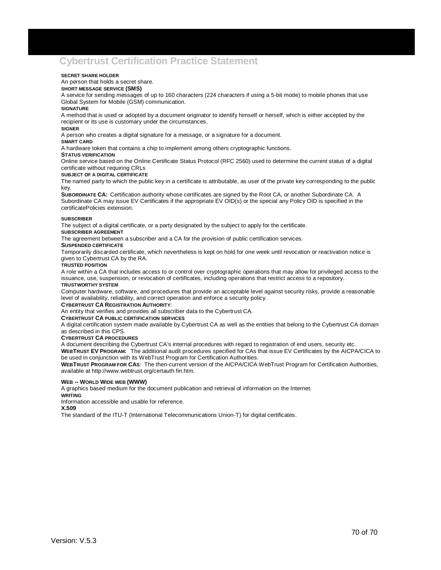## **Cybertrust Certification Practice Statement**

### **SECRET SHARE HOLDER**

## An person that holds a secret share.

**SHORT MESSAGE SERVICE (SMS)** 

A service for sending messages of up to 160 characters (224 characters if using a 5-bit mode) to mobile phones that use Global System for Mobile (GSM) communication.

### **SIGNATURE**

A method that is used or adopted by a document originator to identify himself or herself, which is either accepted by the recipient or its use is customary under the circumstances.

### **SIGNER**

A person who creates a digital signature for a message, or a signature for a document.

### **SMART CARD**

A hardware token that contains a chip to implement among others cryptographic functions.

### **STATUS VERIFICATION**

Online service based on the Online Certificate Status Protocol (RFC 2560) used to determine the current status of a digital certificate without requiring CRLs

### **SUBJECT OF A DIGITAL CERTIFICATE**

The named party to which the public key in a certificate is attributable, as user of the private key corresponding to the public key.

**SUBORDINATE CA:** Certification authority whose certificates are signed by the Root CA, or another Subordinate CA. A Subordinate CA may issue EV Certificates if the appropriate EV OID(s) or the special any Policy OID is specified in the certificatePolicies extension.

### **SUBSCRIBER**

The subject of a digital certificate, or a party designated by the subject to apply for the certificate.

### **SUBSCRIBER AGREEMENT**

The agreement between a subscriber and a CA for the provision of public certification services.

### **SUSPENDED CERTIFICATE**

Temporarily discarded certificate, which nevertheless is kept on hold for one week until revocation or reactivation notice is given to Cybertrust CA by the RA.

### **TRUSTED POSITION**

A role within a CA that includes access to or control over cryptographic operations that may allow for privileged access to the issuance, use, suspension, or revocation of certificates, including operations that restrict access to a repository.

### **TRUSTWORTHY SYSTEM**

Computer hardware, software, and procedures that provide an acceptable level against security risks, provide a reasonable level of availability, reliability, and correct operation and enforce a security policy.

## **CYBERTRUST CA REGISTRATION AUTHORITY**:

An entity that verifies and provides all subscriber data to the Cybertrust CA.

### **CYBERTRUST CA PUBLIC CERTIFICATION SERVICES**

A digital certification system made available by Cybertrust CA as well as the entities that belong to the Cybertrust CA domain as described in this CPS.

### **CYBERTRUST CA PROCEDURES**

A document describing the Cybertrust CA's internal procedures with regard to registration of end users, security etc.

**WEBTRUST EV PROGRAM:** The additional audit procedures specified for CAs that issue EV Certificates by the AICPA/CICA to be used in conjunction with its WebTrust Program for Certification Authorities.

**WEBTRUST PROGRAM FOR CAS**: The then-current version of the AICPA/CICA WebTrust Program for Certification Authorities, available at http://www.webtrust.org/certauth fin.htm.

### **WEB -- WORLD WIDE WEB (WWW)**

A graphics based medium for the document publication and retrieval of information on the Internet.

**WRITING**

Information accessible and usable for reference.

**X.509**

The standard of the ITU-T (International Telecommunications Union-T) for digital certificates.